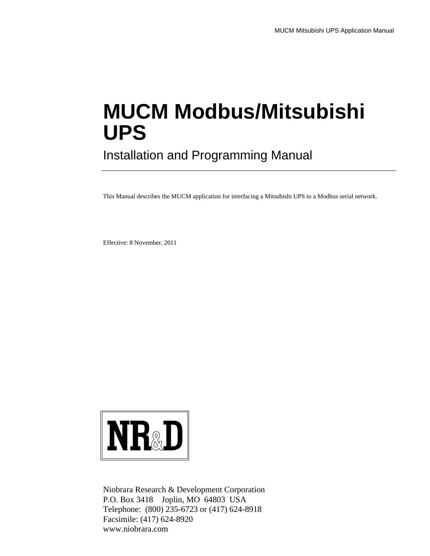# **MUCM Modbus/Mitsubishi UPS**

Installation and Programming Manual

This Manual describes the MUCM application for interfacing a Mitsubishi UPS to a Modbus serial network.

Effective: 8 November, 2011



Niobrara Research & Development Corporation P.O. Box 3418 Joplin, MO 64803 USA Telephone: (800) 235-6723 or (417) 624-8918 Facsimile: (417) 624-8920 www.niobrara.com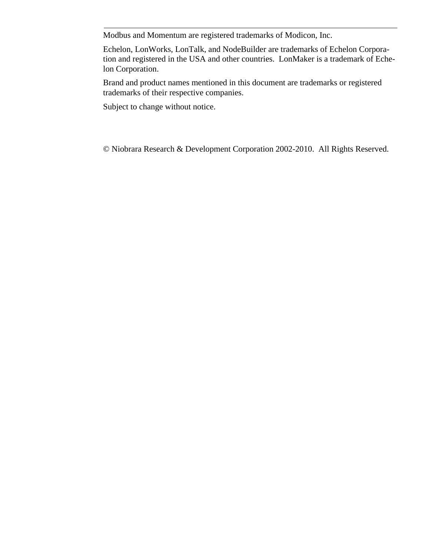Modbus and Momentum are registered trademarks of Modicon, Inc.

Echelon, LonWorks, LonTalk, and NodeBuilder are trademarks of Echelon Corporation and registered in the USA and other countries. LonMaker is a trademark of Echelon Corporation.

Brand and product names mentioned in this document are trademarks or registered trademarks of their respective companies.

Subject to change without notice.

© Niobrara Research & Development Corporation 2002-2010. All Rights Reserved.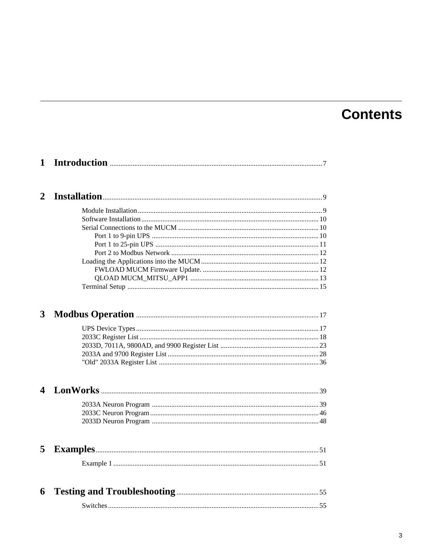# **Contents**

| $\mathbf{1}$            |  |
|-------------------------|--|
| $\overline{2}$          |  |
|                         |  |
|                         |  |
|                         |  |
|                         |  |
|                         |  |
|                         |  |
|                         |  |
|                         |  |
|                         |  |
|                         |  |
| $\overline{\mathbf{3}}$ |  |
|                         |  |
|                         |  |
|                         |  |
|                         |  |
|                         |  |
| $\overline{\mathbf{4}}$ |  |
|                         |  |
|                         |  |
|                         |  |
| 5                       |  |
|                         |  |
|                         |  |
| 6                       |  |
|                         |  |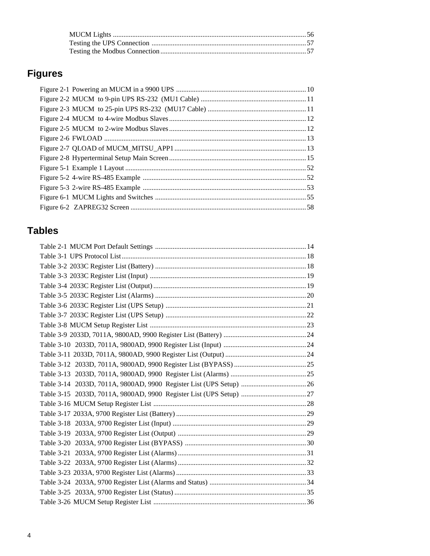# **Figures**

# **Tables**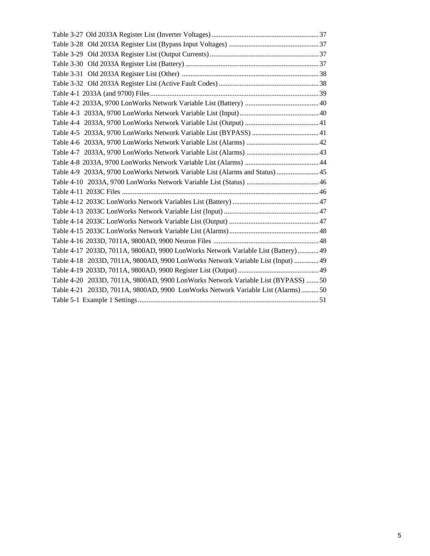| Table 4-9 2033A, 9700 LonWorks Network Variable List (Alarms and Status)  45      |  |
|-----------------------------------------------------------------------------------|--|
|                                                                                   |  |
|                                                                                   |  |
|                                                                                   |  |
|                                                                                   |  |
|                                                                                   |  |
|                                                                                   |  |
|                                                                                   |  |
| Table 4-17 2033D, 7011A, 9800AD, 9900 LonWorks Network Variable List (Battery) 49 |  |
| Table 4-18 2033D, 7011A, 9800AD, 9900 LonWorks Network Variable List (Input)  49  |  |
|                                                                                   |  |
| Table 4-20 2033D, 7011A, 9800AD, 9900 LonWorks Network Variable List (BYPASS) 50  |  |
| Table 4-21 2033D, 7011A, 9800AD, 9900 LonWorks Network Variable List (Alarms)50   |  |
|                                                                                   |  |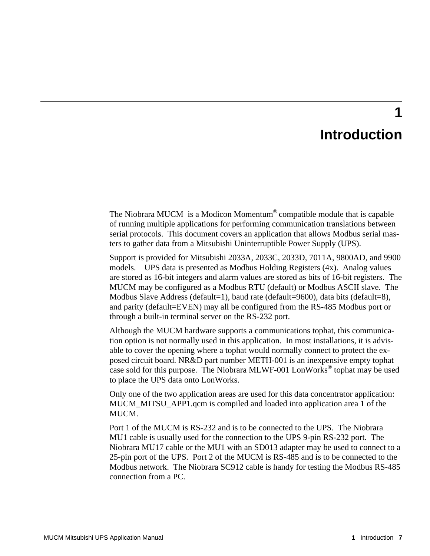# **Introduction**

**1**

The Niobrara MUCM is a Modicon Momentum® compatible module that is capable of running multiple applications for performing communication translations between serial protocols. This document covers an application that allows Modbus serial masters to gather data from a Mitsubishi Uninterruptible Power Supply (UPS).

Support is provided for Mitsubishi 2033A, 2033C, 2033D, 7011A, 9800AD, and 9900 models. UPS data is presented as Modbus Holding Registers (4x). Analog values are stored as 16-bit integers and alarm values are stored as bits of 16-bit registers. The MUCM may be configured as a Modbus RTU (default) or Modbus ASCII slave. The Modbus Slave Address (default=1), baud rate (default=9600), data bits (default=8), and parity (default=EVEN) may all be configured from the RS-485 Modbus port or through a built-in terminal server on the RS-232 port.

Although the MUCM hardware supports a communications tophat, this communication option is not normally used in this application. In most installations, it is advisable to cover the opening where a tophat would normally connect to protect the exposed circuit board. NR&D part number METH-001 is an inexpensive empty tophat case sold for this purpose. The Niobrara MLWF-001 LonWorks<sup>®</sup> tophat may be used to place the UPS data onto LonWorks.

Only one of the two application areas are used for this data concentrator application: MUCM\_MITSU\_APP1.qcm is compiled and loaded into application area 1 of the MUCM.

Port 1 of the MUCM is RS-232 and is to be connected to the UPS. The Niobrara MU1 cable is usually used for the connection to the UPS 9-pin RS-232 port. The Niobrara MU17 cable or the MU1 with an SD013 adapter may be used to connect to a 25-pin port of the UPS. Port 2 of the MUCM is RS-485 and is to be connected to the Modbus network. The Niobrara SC912 cable is handy for testing the Modbus RS-485 connection from a PC.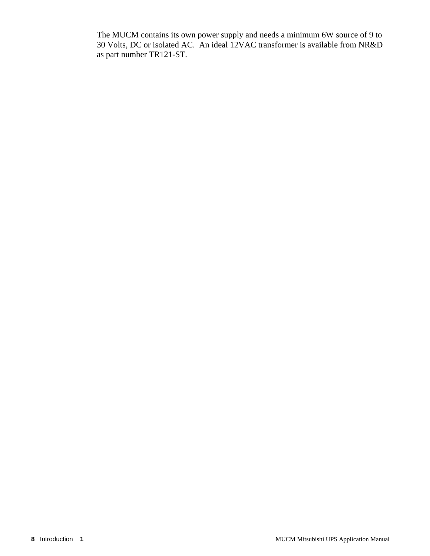The MUCM contains its own power supply and needs a minimum 6W source of 9 to 30 Volts, DC or isolated AC. An ideal 12VAC transformer is available from NR&D as part number TR121-ST.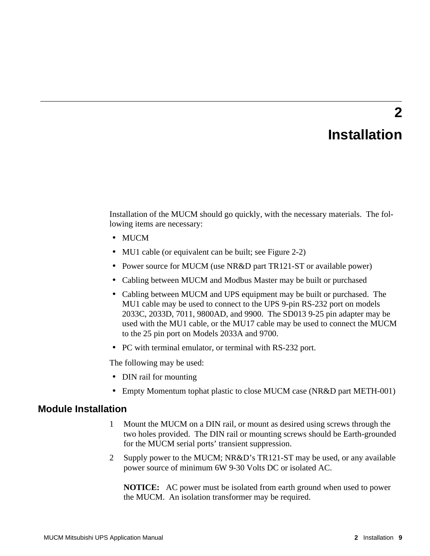# **Installation**

**2**

Installation of the MUCM should go quickly, with the necessary materials. The following items are necessary:

- MUCM
- MU1 cable (or equivalent can be built; see Figure 2-2)
- Power source for MUCM (use NR&D part TR121-ST or available power)
- Cabling between MUCM and Modbus Master may be built or purchased
- Cabling between MUCM and UPS equipment may be built or purchased. The MU1 cable may be used to connect to the UPS 9-pin RS-232 port on models 2033C, 2033D, 7011, 9800AD, and 9900. The SD013 9-25 pin adapter may be used with the MU1 cable, or the MU17 cable may be used to connect the MUCM to the 25 pin port on Models 2033A and 9700.
- PC with terminal emulator, or terminal with RS-232 port.

The following may be used:

- DIN rail for mounting
- Empty Momentum tophat plastic to close MUCM case (NR&D part METH-001)

#### **Module Installation**

- 1 Mount the MUCM on a DIN rail, or mount as desired using screws through the two holes provided. The DIN rail or mounting screws should be Earth-grounded for the MUCM serial ports' transient suppression.
- 2 Supply power to the MUCM; NR&D's TR121-ST may be used, or any available power source of minimum 6W 9-30 Volts DC or isolated AC.

**NOTICE:** AC power must be isolated from earth ground when used to power the MUCM. An isolation transformer may be required.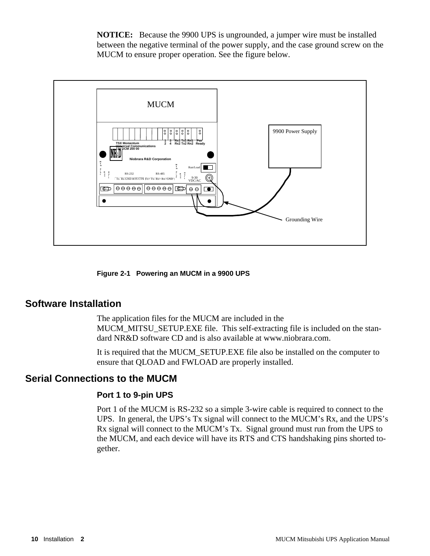**NOTICE:** Because the 9900 UPS is ungrounded, a jumper wire must be installed between the negative terminal of the power supply, and the case ground screw on the MUCM to ensure proper operation. See the figure below.



**Figure 2-1 Powering an MUCM in a 9900 UPS**

# **Software Installation**

The application files for the MUCM are included in the MUCM\_MITSU\_SETUP.EXE file. This self-extracting file is included on the standard NR&D software CD and is also available at www.niobrara.com.

It is required that the MUCM\_SETUP.EXE file also be installed on the computer to ensure that QLOAD and FWLOAD are properly installed.

# **Serial Connections to the MUCM**

#### **Port 1 to 9-pin UPS**

Port 1 of the MUCM is RS-232 so a simple 3-wire cable is required to connect to the UPS. In general, the UPS's Tx signal will connect to the MUCM's Rx, and the UPS's Rx signal will connect to the MUCM's Tx. Signal ground must run from the UPS to the MUCM, and each device will have its RTS and CTS handshaking pins shorted together.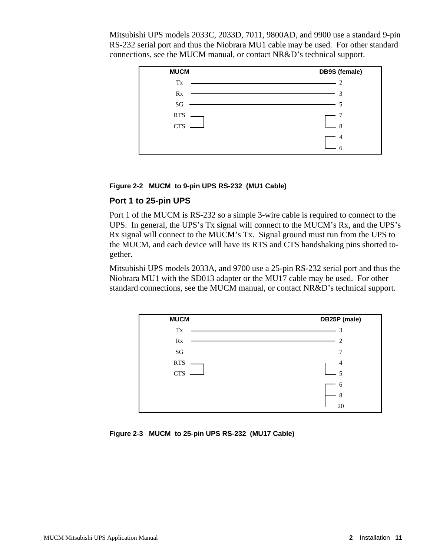Mitsubishi UPS models 2033C, 2033D, 7011, 9800AD, and 9900 use a standard 9-pin RS-232 serial port and thus the Niobrara MU1 cable may be used. For other standard connections, see the MUCM manual, or contact NR&D's technical support.



#### **Figure 2-2 MUCM to 9-pin UPS RS-232 (MU1 Cable)**

#### **Port 1 to 25-pin UPS**

Port 1 of the MUCM is RS-232 so a simple 3-wire cable is required to connect to the UPS. In general, the UPS's Tx signal will connect to the MUCM's Rx, and the UPS's Rx signal will connect to the MUCM's Tx. Signal ground must run from the UPS to the MUCM, and each device will have its RTS and CTS handshaking pins shorted together.

Mitsubishi UPS models 2033A, and 9700 use a 25-pin RS-232 serial port and thus the Niobrara MU1 with the SD013 adapter or the MU17 cable may be used. For other standard connections, see the MUCM manual, or contact NR&D's technical support.

| <b>MUCM</b>            | DB25P (male) |
|------------------------|--------------|
| Tx                     | 3            |
| Rx                     | 2            |
| $\mathbf{S}\mathbf{G}$ |              |
| <b>RTS</b>             | 4            |
| <b>CTS</b>             | 5            |
|                        | 6            |
|                        | 8            |
|                        | 20           |

**Figure 2-3 MUCM to 25-pin UPS RS-232 (MU17 Cable)**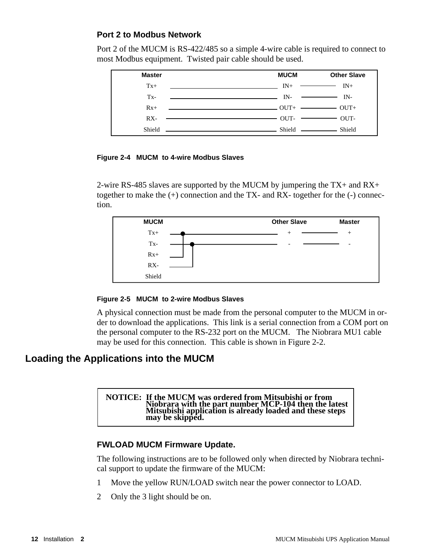### **Port 2 to Modbus Network**

Port 2 of the MUCM is RS-422/485 so a simple 4-wire cable is required to connect to most Modbus equipment. Twisted pair cable should be used.



#### **Figure 2-4 MUCM to 4-wire Modbus Slaves**

2-wire RS-485 slaves are supported by the MUCM by jumpering the TX+ and RX+ together to make the  $(+)$  connection and the TX- and RX- together for the  $(-)$  connection.



#### **Figure 2-5 MUCM to 2-wire Modbus Slaves**

A physical connection must be made from the personal computer to the MUCM in order to download the applications. This link is a serial connection from a COM port on the personal computer to the RS-232 port on the MUCM. The Niobrara MU1 cable may be used for this connection. This cable is shown in Figure 2-2.

# **Loading the Applications into the MUCM**

**NOTICE: If the MUCM was ordered from Mitsubishi or from Niobrara with the part number MCP-104 then the latest Mitsubishi application is already loaded and these steps may be skipped.** 

#### **FWLOAD MUCM Firmware Update.**

The following instructions are to be followed only when directed by Niobrara technical support to update the firmware of the MUCM:

- 1 Move the yellow RUN/LOAD switch near the power connector to LOAD.
- 2 Only the 3 light should be on.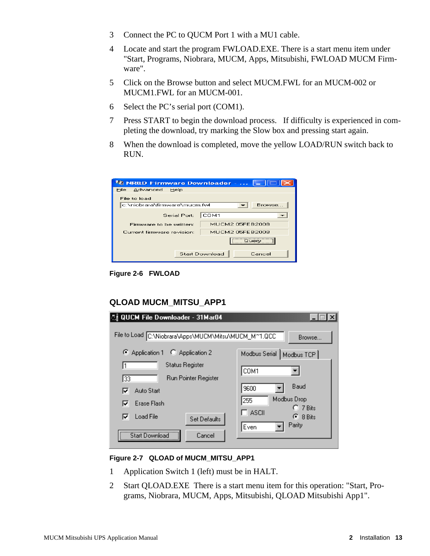- 3 Connect the PC to QUCM Port 1 with a MU1 cable.
- 4 Locate and start the program FWLOAD.EXE. There is a start menu item under "Start, Programs, Niobrara, MUCM, Apps, Mitsubishi, FWLOAD MUCM Firmware".
- 5 Click on the Browse button and select MUCM.FWL for an MUCM-002 or MUCM1.FWL for an MUCM-001.
- 6 Select the PC's serial port (COM1).
- 7 Press START to begin the download process. If difficulty is experienced in completing the download, try marking the Slow box and pressing start again.
- 8 When the download is completed, move the yellow LOAD/RUN switch back to RUN.

| <b>NE NR&amp;D Firmware Downloader - </b> |                        |  |  |  |  |
|-------------------------------------------|------------------------|--|--|--|--|
| Advanced<br>File<br>Help                  |                        |  |  |  |  |
| File to load                              |                        |  |  |  |  |
| c:\niobrara\firmware\mucm.fwl             | Browse                 |  |  |  |  |
| Serial Port:                              | COM1                   |  |  |  |  |
| Firmware to be written:                   | MUCM2 05FEB2008        |  |  |  |  |
| Current firmware revision:                | <b>MUCM2 05FEB2008</b> |  |  |  |  |
| Query                                     |                        |  |  |  |  |
| <b>Start Download</b><br>Cancel           |                        |  |  |  |  |

**Figure 2-6 FWLOAD**

#### **QLOAD MUCM\_MITSU\_APP1**

| 4] QUCM File Downloader - 31Mar04                     |                                  |  |  |  |
|-------------------------------------------------------|----------------------------------|--|--|--|
| File to Load C:\Niobrara\Apps\MUCM\Mitsu\MUCM_M^1.QCC | Browse                           |  |  |  |
| Application 1 C Application 2                         | Modbus Serial   Modbus TCP       |  |  |  |
| Status Register                                       | COM1                             |  |  |  |
| Run Pointer Register<br>33                            |                                  |  |  |  |
| Auto Start<br>⊽                                       | Baud<br>9600                     |  |  |  |
| Erase Flash<br>⊽                                      | Modbus Drop<br>255<br>$C$ 7 Bits |  |  |  |
| <b>Load File</b><br>⊽<br>Set Defaults                 | ASCII<br>$\epsilon$ 8 Bits       |  |  |  |
| Cancel<br>Start Download                              | Parity<br>Even                   |  |  |  |

#### **Figure 2-7 QLOAD of MUCM\_MITSU\_APP1**

- 1 Application Switch 1 (left) must be in HALT.
- 2 Start QLOAD.EXE There is a start menu item for this operation: "Start, Programs, Niobrara, MUCM, Apps, Mitsubishi, QLOAD Mitsubishi App1".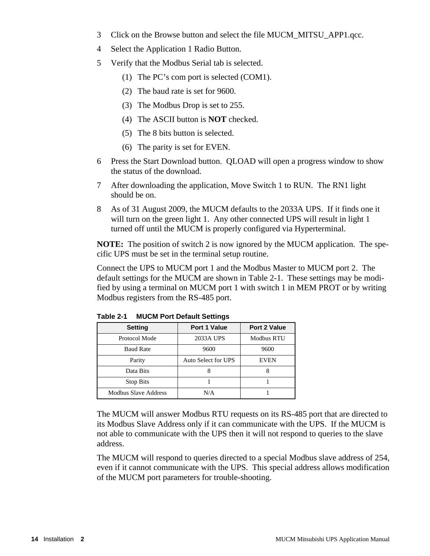- 3 Click on the Browse button and select the file MUCM\_MITSU\_APP1.qcc.
- 4 Select the Application 1 Radio Button.
- 5 Verify that the Modbus Serial tab is selected.
	- (1) The PC's com port is selected (COM1).
	- (2) The baud rate is set for 9600.
	- (3) The Modbus Drop is set to 255.
	- (4) The ASCII button is **NOT** checked.
	- (5) The 8 bits button is selected.
	- (6) The parity is set for EVEN.
- 6 Press the Start Download button. QLOAD will open a progress window to show the status of the download.
- 7 After downloading the application, Move Switch 1 to RUN. The RN1 light should be on.
- 8 As of 31 August 2009, the MUCM defaults to the 2033A UPS. If it finds one it will turn on the green light 1. Any other connected UPS will result in light 1 turned off until the MUCM is properly configured via Hyperterminal.

**NOTE:** The position of switch 2 is now ignored by the MUCM application. The specific UPS must be set in the terminal setup routine.

Connect the UPS to MUCM port 1 and the Modbus Master to MUCM port 2. The default settings for the MUCM are shown in Table 2-1. These settings may be modified by using a terminal on MUCM port 1 with switch 1 in MEM PROT or by writing Modbus registers from the RS-485 port.

| <b>Setting</b>       | <b>Port 1 Value</b> | <b>Port 2 Value</b> |  |  |
|----------------------|---------------------|---------------------|--|--|
| Protocol Mode        | 2033A UPS           | <b>Modbus RTU</b>   |  |  |
| <b>Baud Rate</b>     | 9600                | 9600                |  |  |
| Parity               | Auto Select for UPS | <b>EVEN</b>         |  |  |
| Data Bits            |                     |                     |  |  |
| <b>Stop Bits</b>     |                     |                     |  |  |
| Modbus Slave Address | N/A                 |                     |  |  |

**Table 2-1 MUCM Port Default Settings**

The MUCM will answer Modbus RTU requests on its RS-485 port that are directed to its Modbus Slave Address only if it can communicate with the UPS. If the MUCM is not able to communicate with the UPS then it will not respond to queries to the slave address.

The MUCM will respond to queries directed to a special Modbus slave address of 254, even if it cannot communicate with the UPS. This special address allows modification of the MUCM port parameters for trouble-shooting.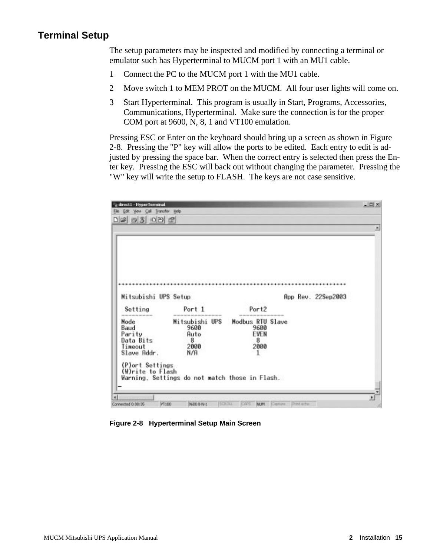# **Terminal Setup**

The setup parameters may be inspected and modified by connecting a terminal or emulator such has Hyperterminal to MUCM port 1 with an MU1 cable.

- 1 Connect the PC to the MUCM port 1 with the MU1 cable.
- 2 Move switch 1 to MEM PROT on the MUCM. All four user lights will come on.
- 3 Start Hyperterminal. This program is usually in Start, Programs, Accessories, Communications, Hyperterminal. Make sure the connection is for the proper COM port at 9600, N, 8, 1 and VT100 emulation.

Pressing ESC or Enter on the keyboard should bring up a screen as shown in Figure 2-8. Pressing the "P" key will allow the ports to be edited. Each entry to edit is adjusted by pressing the space bar. When the correct entry is selected then press the Enter key. Pressing the ESC will back out without changing the parameter. Pressing the "W" key will write the setup to FLASH. The keys are not case sensitive.

| - direct1 - HyperTerminal<br>Elle Edit Yeve Call Transfer Help |                                                |                                                        |                    | $-101 \times$ |
|----------------------------------------------------------------|------------------------------------------------|--------------------------------------------------------|--------------------|---------------|
|                                                                |                                                |                                                        |                    |               |
|                                                                |                                                |                                                        |                    |               |
|                                                                |                                                |                                                        |                    |               |
|                                                                |                                                |                                                        |                    |               |
|                                                                |                                                |                                                        |                    |               |
|                                                                |                                                |                                                        |                    |               |
|                                                                |                                                |                                                        |                    |               |
|                                                                |                                                |                                                        |                    |               |
|                                                                |                                                |                                                        |                    |               |
| Mitsubishi UPS Setup                                           |                                                |                                                        | App Rev. 22Sep2003 |               |
| Setting                                                        | Port 1                                         | Port <sub>2</sub>                                      |                    |               |
| ads also has been one and<br>Node                              | Mitsubishi UPS                                 | that was not also the bat the con-<br>Modbus RTU Slave |                    |               |
| Baud                                                           | 9600                                           | 9600                                                   |                    |               |
| Parity                                                         | Auto                                           | EVEN                                                   |                    |               |
| Data Bits<br>Timeout                                           | -8<br>2000                                     | 8<br>2000                                              |                    |               |
| Slave Addr.                                                    | N/A                                            | -1                                                     |                    |               |
|                                                                |                                                |                                                        |                    |               |
| (P)ort Settings                                                |                                                |                                                        |                    |               |
|                                                                |                                                |                                                        |                    |               |
| (W)rite to Flash                                               |                                                |                                                        |                    |               |
|                                                                | Warning, Settings do not match those in Flash. |                                                        |                    |               |
|                                                                |                                                |                                                        |                    |               |

**Figure 2-8 Hyperterminal Setup Main Screen**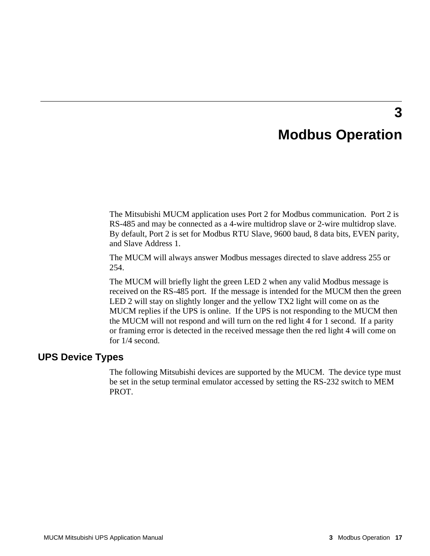# **Modbus Operation**

**3**

The Mitsubishi MUCM application uses Port 2 for Modbus communication. Port 2 is RS-485 and may be connected as a 4-wire multidrop slave or 2-wire multidrop slave. By default, Port 2 is set for Modbus RTU Slave, 9600 baud, 8 data bits, EVEN parity, and Slave Address 1.

The MUCM will always answer Modbus messages directed to slave address 255 or 254.

The MUCM will briefly light the green LED 2 when any valid Modbus message is received on the RS-485 port. If the message is intended for the MUCM then the green LED 2 will stay on slightly longer and the yellow TX2 light will come on as the MUCM replies if the UPS is online. If the UPS is not responding to the MUCM then the MUCM will not respond and will turn on the red light 4 for 1 second. If a parity or framing error is detected in the received message then the red light 4 will come on for 1/4 second.

#### **UPS Device Types**

The following Mitsubishi devices are supported by the MUCM. The device type must be set in the setup terminal emulator accessed by setting the RS-232 switch to MEM PROT.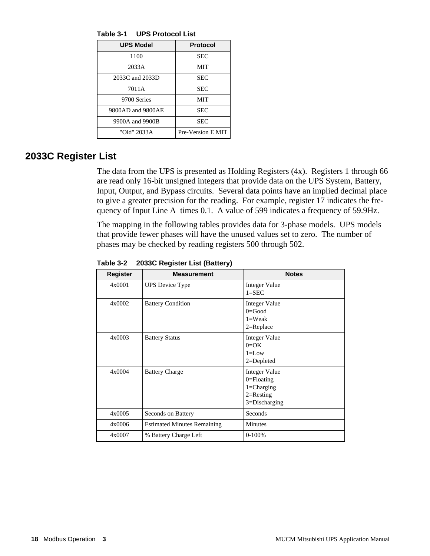**Table 3-1 UPS Protocol List**

| <b>UPS Model</b>  | <b>Protocol</b>   |
|-------------------|-------------------|
| 1100              | <b>SEC</b>        |
| 2033A             | MIT               |
| 2033C and 2033D   | <b>SEC</b>        |
| 7011A             | <b>SEC</b>        |
| 9700 Series       | MIT               |
| 9800AD and 9800AE | <b>SEC</b>        |
| 9900A and 9900B   | <b>SEC</b>        |
| "Old" 2033A       | Pre-Version E MIT |

# **2033C Register List**

The data from the UPS is presented as Holding Registers (4x). Registers 1 through 66 are read only 16-bit unsigned integers that provide data on the UPS System, Battery, Input, Output, and Bypass circuits. Several data points have an implied decimal place to give a greater precision for the reading. For example, register 17 indicates the frequency of Input Line A times 0.1. A value of 599 indicates a frequency of 59.9Hz.

The mapping in the following tables provides data for 3-phase models. UPS models that provide fewer phases will have the unused values set to zero. The number of phases may be checked by reading registers 500 through 502.

| <b>Register</b> | <b>Measurement</b>                 | <b>Notes</b>                                                                                  |
|-----------------|------------------------------------|-----------------------------------------------------------------------------------------------|
| 4x0001          | UPS Device Type                    | <b>Integer Value</b><br>$1 =$ SEC                                                             |
| 4x0002          | <b>Battery Condition</b>           | Integer Value<br>$0 = Good$<br>$1=$ Weak<br>$2 = Replace$                                     |
| 4x0003          | <b>Battery Status</b>              | <b>Integer Value</b><br>$0=OK$<br>$1 = Low$<br>$2 = Depleted$                                 |
| 4x0004          | <b>Battery Charge</b>              | <b>Integer Value</b><br>$0 =$ Floating<br>$1 = Charging$<br>$2=$ Resting<br>$3 = Discharging$ |
| 4x0005          | Seconds on Battery                 | Seconds                                                                                       |
| 4x0006          | <b>Estimated Minutes Remaining</b> | <b>Minutes</b>                                                                                |
| 4x0007          | % Battery Charge Left              | $0-100%$                                                                                      |

**Table 3-2 2033C Register List (Battery)**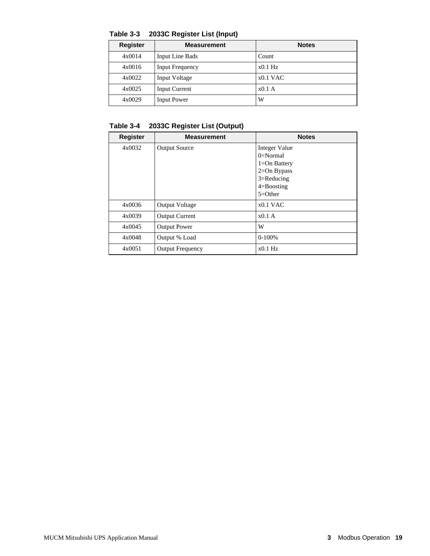**Table 3-3 2033C Register List (Input)**

| <b>Register</b> | <b>Measurement</b>     | <b>Notes</b> |
|-----------------|------------------------|--------------|
| 4x0014          | Input Line Bads        | Count        |
| 4x0016          | <b>Input Frequency</b> | $x0.1$ Hz    |
| 4x0022          | <b>Input Voltage</b>   | $x0.1$ VAC   |
| 4x0025          | <b>Input Current</b>   | $x0.1$ A     |
| 4x0029          | <b>Input Power</b>     | W            |

**Table 3-4 2033C Register List (Output)**

| <b>Register</b> | <b>Measurement</b>      | <b>Notes</b>     |
|-----------------|-------------------------|------------------|
| 4x0032          | <b>Output Source</b>    | Integer Value    |
|                 |                         | $0=Normal$       |
|                 |                         | $1 = On$ Battery |
|                 |                         | $2=On Bypass$    |
|                 |                         | $3 =$ Reducing   |
|                 |                         | $4 =$ Boosting   |
|                 |                         | $5=Other$        |
| 4x0036          | <b>Output Voltage</b>   | $x0.1$ VAC       |
| 4x0039          | <b>Output Current</b>   | $x0.1$ A         |
| 4x0045          | <b>Output Power</b>     | W                |
| 4x0048          | Output % Load           | $0-100%$         |
| 4x0051          | <b>Output Frequency</b> | $x0.1$ Hz        |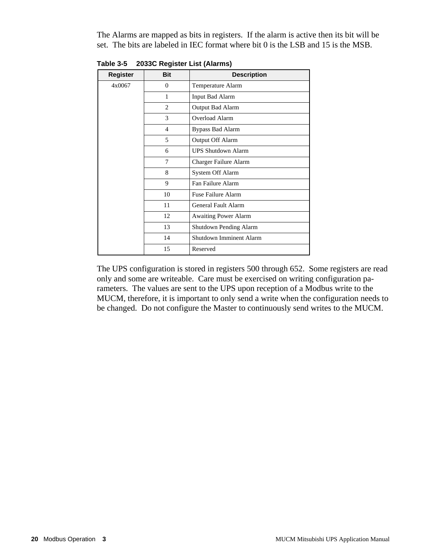The Alarms are mapped as bits in registers. If the alarm is active then its bit will be set. The bits are labeled in IEC format where bit 0 is the LSB and 15 is the MSB.

| <b>Register</b> | <b>Bit</b>     | <b>Description</b>          |
|-----------------|----------------|-----------------------------|
| 4x0067          | $\theta$       | Temperature Alarm           |
|                 | 1              | <b>Input Bad Alarm</b>      |
|                 | 2              | Output Bad Alarm            |
|                 | 3              | Overload Alarm              |
|                 | $\overline{4}$ | <b>Bypass Bad Alarm</b>     |
|                 | 5              | Output Off Alarm            |
|                 | 6              | <b>UPS Shutdown Alarm</b>   |
|                 | 7              | Charger Failure Alarm       |
|                 | 8              | System Off Alarm            |
|                 | 9              | Fan Failure Alarm           |
|                 | 10             | Fuse Failure Alarm          |
|                 | 11             | General Fault Alarm         |
|                 | 12             | <b>Awaiting Power Alarm</b> |
|                 | 13             | Shutdown Pending Alarm      |
|                 | 14             | Shutdown Imminent Alarm     |
|                 | 15             | Reserved                    |

**Table 3-5 2033C Register List (Alarms)**

The UPS configuration is stored in registers 500 through 652. Some registers are read only and some are writeable. Care must be exercised on writing configuration parameters. The values are sent to the UPS upon reception of a Modbus write to the MUCM, therefore, it is important to only send a write when the configuration needs to be changed. Do not configure the Master to continuously send writes to the MUCM.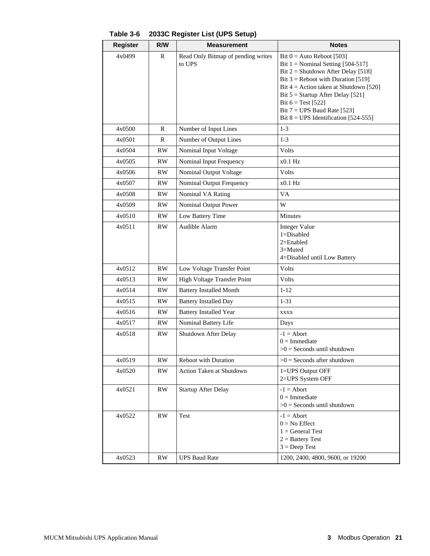| <b>Register</b> | R/W          | <b>Measurement</b>                                                      | <b>Notes</b>                                                                                                                                                                                                                                                                                                                             |  |
|-----------------|--------------|-------------------------------------------------------------------------|------------------------------------------------------------------------------------------------------------------------------------------------------------------------------------------------------------------------------------------------------------------------------------------------------------------------------------------|--|
| 4x0499          | R            | Read Only Bitmap of pending writes<br>to UPS                            | Bit $0 =$ Auto Reboot [503]<br>Bit $1 =$ Nominal Setting [504-517]<br>Bit $2 =$ Shutdown After Delay [518]<br>Bit $3$ = Reboot with Duration [519]<br>Bit $4 =$ Action taken at Shutdown [520]<br>Bit $5 =$ Startup After Delay [521]<br>Bit $6 = Test [522]$<br>Bit $7 = UPS$ Baud Rate [523]<br>Bit $8 = UPS$ Identification [524-555] |  |
| 4x0500          | $\mathbb{R}$ | Number of Input Lines                                                   | $1-3$                                                                                                                                                                                                                                                                                                                                    |  |
| 4x0501          | R            | Number of Output Lines                                                  | $1 - 3$                                                                                                                                                                                                                                                                                                                                  |  |
| 4x0504          | <b>RW</b>    | Nominal Input Voltage                                                   | Volts                                                                                                                                                                                                                                                                                                                                    |  |
| 4x0505          | RW           | Nominal Input Frequency                                                 | $x0.1$ Hz                                                                                                                                                                                                                                                                                                                                |  |
| 4x0506          | RW.          | Nominal Output Voltage                                                  | Volts                                                                                                                                                                                                                                                                                                                                    |  |
| 4x0507          | <b>RW</b>    | Nominal Output Frequency                                                | $x0.1$ Hz                                                                                                                                                                                                                                                                                                                                |  |
| 4x0508          | <b>RW</b>    | Nominal VA Rating                                                       | VA                                                                                                                                                                                                                                                                                                                                       |  |
| 4x0509          | RW           | Nominal Output Power                                                    | W                                                                                                                                                                                                                                                                                                                                        |  |
| 4x0510          | <b>RW</b>    | Low Battery Time                                                        | Minutes                                                                                                                                                                                                                                                                                                                                  |  |
| 4x0511          | RW.          | Audible Alarm                                                           | <b>Integer Value</b><br>$1 = Disabled$<br>2=Enabled<br>$3 =$ Muted<br>4=Disabled until Low Battery                                                                                                                                                                                                                                       |  |
| 4x0512          | <b>RW</b>    | Low Voltage Transfer Point                                              | Volts                                                                                                                                                                                                                                                                                                                                    |  |
| 4x0513          | <b>RW</b>    | High Voltage Transfer Point                                             | Volts                                                                                                                                                                                                                                                                                                                                    |  |
| 4x0514          | <b>RW</b>    | <b>Battery Installed Month</b><br>$1 - 12$                              |                                                                                                                                                                                                                                                                                                                                          |  |
| 4x0515          | <b>RW</b>    | <b>Battery Installed Day</b><br>$1 - 31$                                |                                                                                                                                                                                                                                                                                                                                          |  |
| 4x0516          | <b>RW</b>    | <b>Battery Installed Year</b><br>XXXX                                   |                                                                                                                                                                                                                                                                                                                                          |  |
| 4x0517          | RW           | Nominal Battery Life                                                    | Days                                                                                                                                                                                                                                                                                                                                     |  |
| 4x0518          | <b>RW</b>    | Shutdown After Delay                                                    | $-1 =$ Abort<br>$0 =$ Immediate<br>$>0$ = Seconds until shutdown                                                                                                                                                                                                                                                                         |  |
| 4x0519          | <b>RW</b>    | Reboot with Duration                                                    | $>0$ = Seconds after shutdown                                                                                                                                                                                                                                                                                                            |  |
| 4x0520          | <b>RW</b>    | <b>Action Taken at Shutdown</b><br>1=UPS Output OFF<br>2=UPS System OFF |                                                                                                                                                                                                                                                                                                                                          |  |
| 4x0521          | RW           | <b>Startup After Delay</b>                                              | $-1 =$ Abort<br>$0 =$ Immediate<br>$>0$ = Seconds until shutdown                                                                                                                                                                                                                                                                         |  |
| 4x0522          | <b>RW</b>    | Test                                                                    | $-1 =$ Abort<br>$0 = No$ Effect<br>$1 = General Test$<br>$2 =$ Battery Test<br>$3 = Deep Test$                                                                                                                                                                                                                                           |  |
| 4x0523          | RW           | <b>UPS Baud Rate</b>                                                    | 1200, 2400, 4800, 9600, or 19200                                                                                                                                                                                                                                                                                                         |  |

**Table 3-6 2033C Register List (UPS Setup)**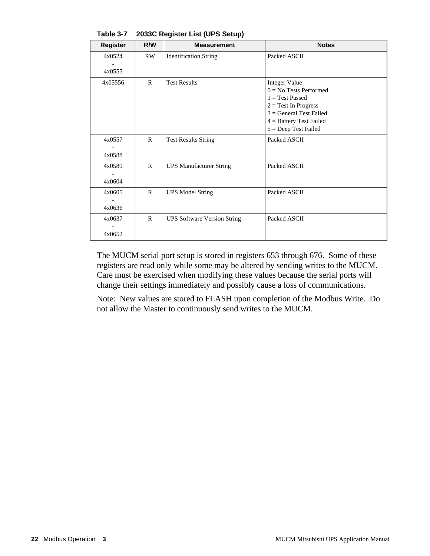| <b>Register</b>  | R/W          | <b>Measurement</b>                 | <b>Notes</b>                                                                                                                                                                        |
|------------------|--------------|------------------------------------|-------------------------------------------------------------------------------------------------------------------------------------------------------------------------------------|
| 4x0524           | <b>RW</b>    | <b>Identification String</b>       | Packed ASCII                                                                                                                                                                        |
| 4x0555           |              |                                    |                                                                                                                                                                                     |
| 4x05556          | $\mathbb{R}$ | <b>Test Results</b>                | <b>Integer Value</b><br>$0 = No$ Tests Performed<br>$1 = Test$ Passed<br>$2 = Test In Progress$<br>$3 = General Test Failed$<br>$4 =$ Battery Test Failed<br>$5 = Deep Test Failed$ |
| 4x0557<br>4x0588 | $\mathbf{R}$ | <b>Test Results String</b>         | Packed ASCII                                                                                                                                                                        |
| 4x0589<br>4x0604 | $\mathsf{R}$ | <b>UPS Manufacturer String</b>     | Packed ASCII                                                                                                                                                                        |
| 4x0605<br>4x0636 | $\mathsf{R}$ | <b>UPS Model String</b>            | Packed ASCII                                                                                                                                                                        |
| 4x0637<br>4x0652 | $\mathbb{R}$ | <b>UPS Software Version String</b> | Packed ASCII                                                                                                                                                                        |

**Table 3-7 2033C Register List (UPS Setup)**

The MUCM serial port setup is stored in registers 653 through 676. Some of these registers are read only while some may be altered by sending writes to the MUCM. Care must be exercised when modifying these values because the serial ports will change their settings immediately and possibly cause a loss of communications.

Note: New values are stored to FLASH upon completion of the Modbus Write. Do not allow the Master to continuously send writes to the MUCM.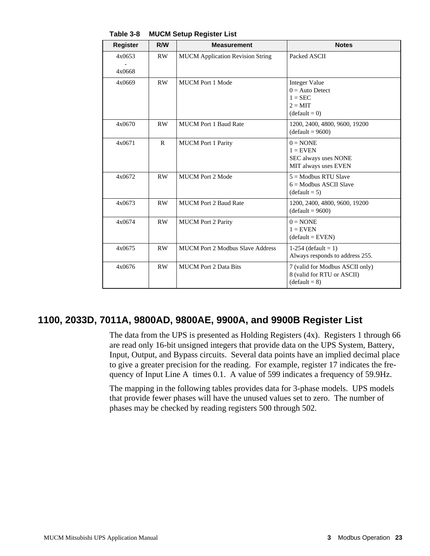| <b>Register</b>  | R/W          | <b>Measurement</b>                      | <b>Notes</b>                                                                                  |
|------------------|--------------|-----------------------------------------|-----------------------------------------------------------------------------------------------|
| 4x0653<br>4x0668 | RW           | <b>MUCM</b> Application Revision String | Packed ASCII                                                                                  |
| 4x0669           | RW           | <b>MUCM</b> Port 1 Mode                 | <b>Integer Value</b><br>$0 =$ Auto Detect<br>$1 = \text{SEC}$<br>$2 = MIT$<br>$(detault = 0)$ |
| 4x0670           | RW           | <b>MUCM Port 1 Baud Rate</b>            | 1200, 2400, 4800, 9600, 19200<br>$(detault = 9600)$                                           |
| 4x0671           | $\mathsf{R}$ | <b>MUCM</b> Port 1 Parity               | $0 = \text{NONE}$<br>$1 =$ EVEN<br>SEC always uses NONE<br>MIT always uses EVEN               |
| 4x0672           | RW           | <b>MUCM</b> Port 2 Mode                 | $5 =$ Modbus RTU Slave<br>$6 =$ Modbus ASCII Slave<br>$(default = 5)$                         |
| 4x0673           | RW           | <b>MUCM Port 2 Baud Rate</b>            | 1200, 2400, 4800, 9600, 19200<br>$(detault = 9600)$                                           |
| 4x0674           | <b>RW</b>    | <b>MUCM</b> Port 2 Parity               | $0 = \text{NONE}$<br>$1 =$ EVEN<br>$(detault = EVEN)$                                         |
| 4x0675           | RW           | <b>MUCM Port 2 Modbus Slave Address</b> | 1-254 (default = 1)<br>Always responds to address 255.                                        |
| 4x0676           | RW           | <b>MUCM</b> Port 2 Data Bits            | 7 (valid for Modbus ASCII only)<br>8 (valid for RTU or ASCII)<br>$(default = 8)$              |

**Table 3-8 MUCM Setup Register List**

# **1100, 2033D, 7011A, 9800AD, 9800AE, 9900A, and 9900B Register List**

The data from the UPS is presented as Holding Registers (4x). Registers 1 through 66 are read only 16-bit unsigned integers that provide data on the UPS System, Battery, Input, Output, and Bypass circuits. Several data points have an implied decimal place to give a greater precision for the reading. For example, register 17 indicates the frequency of Input Line A times 0.1. A value of 599 indicates a frequency of 59.9Hz.

The mapping in the following tables provides data for 3-phase models. UPS models that provide fewer phases will have the unused values set to zero. The number of phases may be checked by reading registers 500 through 502.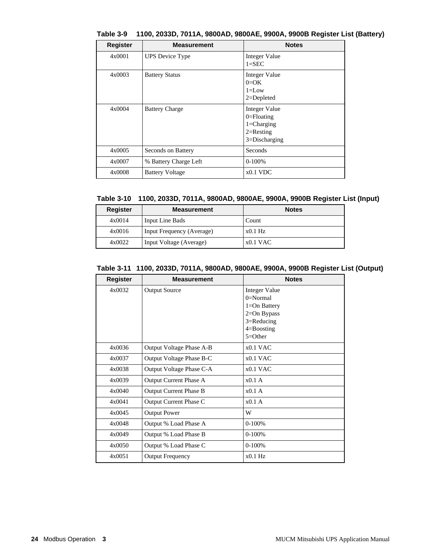| <b>Register</b> | <b>Measurement</b>     | <b>Notes</b>                                                                            |
|-----------------|------------------------|-----------------------------------------------------------------------------------------|
| 4x0001          | <b>UPS</b> Device Type | Integer Value<br>$1 =$ SEC                                                              |
| 4x0003          | <b>Battery Status</b>  | Integer Value<br>$0=OK$<br>$1 = Low$<br>$2 = Depleted$                                  |
| 4x0004          | <b>Battery Charge</b>  | Integer Value<br>$0 =$ Floating<br>$1 = Charging$<br>$2 =$ Resting<br>$3 = Discharging$ |
| 4x0005          | Seconds on Battery     | Seconds                                                                                 |
| 4x0007          | % Battery Charge Left  | $0-100%$                                                                                |
| 4x0008          | <b>Battery Voltage</b> | $x0.1$ VDC                                                                              |

**Table 3-9 1100, 2033D, 7011A, 9800AD, 9800AE, 9900A, 9900B Register List (Battery)**

|  |  | Table 3-10 1100, 2033D, 7011A, 9800AD, 9800AE, 9900A, 9900B Register List (Input) |  |  |  |
|--|--|-----------------------------------------------------------------------------------|--|--|--|
|--|--|-----------------------------------------------------------------------------------|--|--|--|

| <b>Register</b> | <b>Measurement</b>        | <b>Notes</b> |
|-----------------|---------------------------|--------------|
| 4x0014          | Input Line Bads           | Count        |
| 4x0016          | Input Frequency (Average) | $x0.1$ Hz    |
| 4x0022          | Input Voltage (Average)   | $x0.1$ VAC   |

|  | Table 3-11 1100, 2033D, 7011A, 9800AD, 9800AE, 9900A, 9900B Register List (Output) |  |
|--|------------------------------------------------------------------------------------|--|
|  |                                                                                    |  |

| <b>Register</b> | <b>Measurement</b>       | <b>Notes</b>                                                                                                |
|-----------------|--------------------------|-------------------------------------------------------------------------------------------------------------|
| 4x0032          | <b>Output Source</b>     | <b>Integer Value</b><br>$0=Normal$<br>$1 = On$ Battery<br>$2=On Bypass$<br>$3 =$ Reducing<br>$4 =$ Boosting |
|                 |                          | $5 = Other$                                                                                                 |
| 4x0036          | Output Voltage Phase A-B | $x0.1$ VAC                                                                                                  |
| 4x0037          | Output Voltage Phase B-C | $x0.1$ VAC                                                                                                  |
| 4x0038          | Output Voltage Phase C-A | $x0.1$ VAC                                                                                                  |
| 4x0039          | Output Current Phase A   | x0.1A                                                                                                       |
| 4x0040          | Output Current Phase B   | $x0.1$ A                                                                                                    |
| 4x0041          | Output Current Phase C   | x0.1A                                                                                                       |
| 4x0045          | <b>Output Power</b>      | W                                                                                                           |
| 4x0048          | Output % Load Phase A    | $0-100%$                                                                                                    |
| 4x0049          | Output % Load Phase B    | $0 - 100%$                                                                                                  |
| 4x0050          | Output % Load Phase C    | $0-100%$                                                                                                    |
| 4x0051          | <b>Output Frequency</b>  | $x0.1$ Hz                                                                                                   |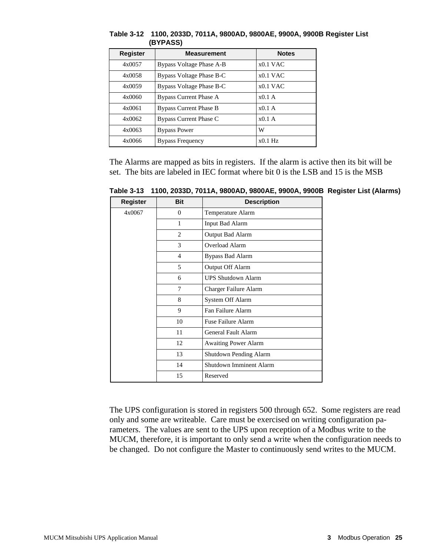| Register | <b>Measurement</b>            | <b>Notes</b> |
|----------|-------------------------------|--------------|
| 4x0057   | Bypass Voltage Phase A-B      | $x0.1$ VAC   |
| 4x0058   | Bypass Voltage Phase B-C      | $x0.1$ VAC   |
| 4x0059   | Bypass Voltage Phase B-C      | $x0.1$ VAC   |
| 4x0060   | Bypass Current Phase A        | $x0.1$ A     |
| 4x0061   | <b>Bypass Current Phase B</b> | $x0.1$ A     |
| 4x0062   | Bypass Current Phase C        | $x0.1$ A     |
| 4x0063   | <b>Bypass Power</b>           | W            |
| 4x0066   | <b>Bypass Frequency</b>       | $x0.1$ Hz    |

**Table 3-12 1100, 2033D, 7011A, 9800AD, 9800AE, 9900A, 9900B Register List (BYPASS)**

The Alarms are mapped as bits in registers. If the alarm is active then its bit will be set. The bits are labeled in IEC format where bit 0 is the LSB and 15 is the MSB

| Register | <b>Bit</b>     | <b>Description</b>          |
|----------|----------------|-----------------------------|
| 4x0067   | $\overline{0}$ | Temperature Alarm           |
|          | 1              | <b>Input Bad Alarm</b>      |
|          | $\overline{2}$ | Output Bad Alarm            |
|          | 3              | Overload Alarm              |
|          | $\overline{4}$ | <b>Bypass Bad Alarm</b>     |
|          | 5              | Output Off Alarm            |
|          | 6              | <b>UPS Shutdown Alarm</b>   |
|          | 7              | Charger Failure Alarm       |
|          | 8              | System Off Alarm            |
|          | 9              | Fan Failure Alarm           |
|          | 10             | Fuse Failure Alarm          |
|          | 11             | General Fault Alarm         |
|          | 12             | <b>Awaiting Power Alarm</b> |
|          | 13             | Shutdown Pending Alarm      |
|          | 14             | Shutdown Imminent Alarm     |
|          | 15             | Reserved                    |

**Table 3-13 1100, 2033D, 7011A, 9800AD, 9800AE, 9900A, 9900B Register List (Alarms)**

The UPS configuration is stored in registers 500 through 652. Some registers are read only and some are writeable. Care must be exercised on writing configuration parameters. The values are sent to the UPS upon reception of a Modbus write to the MUCM, therefore, it is important to only send a write when the configuration needs to be changed. Do not configure the Master to continuously send writes to the MUCM.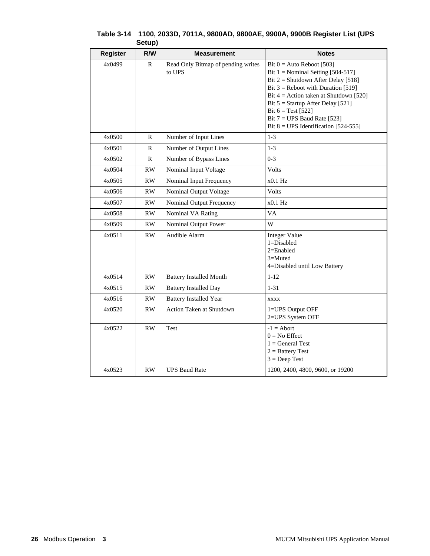| <b>Register</b> | R/W          | <b>Measurement</b>                           | <b>Notes</b>                                                                                                                                                                                                                                                                                                                             |
|-----------------|--------------|----------------------------------------------|------------------------------------------------------------------------------------------------------------------------------------------------------------------------------------------------------------------------------------------------------------------------------------------------------------------------------------------|
| 4x0499          | R            | Read Only Bitmap of pending writes<br>to UPS | Bit $0 =$ Auto Reboot [503]<br>Bit $1 =$ Nominal Setting [504-517]<br>Bit $2 =$ Shutdown After Delay [518]<br>Bit $3$ = Reboot with Duration [519]<br>Bit $4 =$ Action taken at Shutdown [520]<br>Bit $5 =$ Startup After Delay [521]<br>Bit $6 = Test [522]$<br>Bit $7 = UPS$ Baud Rate [523]<br>Bit $8 = UPS$ Identification [524-555] |
| 4x0500          | ${\bf R}$    | Number of Input Lines                        | $1-3$                                                                                                                                                                                                                                                                                                                                    |
| 4x0501          | R            | Number of Output Lines                       | $1 - 3$                                                                                                                                                                                                                                                                                                                                  |
| 4x0502          | $\mathbb{R}$ | Number of Bypass Lines                       | $0 - 3$                                                                                                                                                                                                                                                                                                                                  |
| 4x0504          | RW           | Nominal Input Voltage                        | Volts                                                                                                                                                                                                                                                                                                                                    |
| 4x0505          | RW           | Nominal Input Frequency                      | x0.1 Hz                                                                                                                                                                                                                                                                                                                                  |
| 4x0506          | RW.          | Nominal Output Voltage                       | <b>Volts</b>                                                                                                                                                                                                                                                                                                                             |
| 4x0507          | RW           | Nominal Output Frequency                     | $x0.1$ Hz                                                                                                                                                                                                                                                                                                                                |
| 4x0508          | RW           | Nominal VA Rating                            | VA                                                                                                                                                                                                                                                                                                                                       |
| 4x0509          | RW.          | Nominal Output Power                         | W                                                                                                                                                                                                                                                                                                                                        |
| 4x0511          | <b>RW</b>    | Audible Alarm                                | <b>Integer Value</b><br>$1 = Disabled$<br>$2=Enabled$<br>3=Muted<br>4=Disabled until Low Battery                                                                                                                                                                                                                                         |
| 4x0514          | RW           | <b>Battery Installed Month</b>               | $1 - 12$                                                                                                                                                                                                                                                                                                                                 |
| 4x0515          | RW           | <b>Battery Installed Day</b>                 | $1 - 31$                                                                                                                                                                                                                                                                                                                                 |
| 4x0516          | <b>RW</b>    | <b>Battery Installed Year</b>                | <b>XXXX</b>                                                                                                                                                                                                                                                                                                                              |
| 4x0520          | RW           | Action Taken at Shutdown                     | 1=UPS Output OFF<br>2=UPS System OFF                                                                                                                                                                                                                                                                                                     |
| 4x0522          | RW.          | Test                                         | $-1 =$ Abort<br>$0 = No$ Effect<br>$1 = General Test$<br>$2 =$ Battery Test<br>$3 = Deep Test$                                                                                                                                                                                                                                           |
| 4x0523          | <b>RW</b>    | <b>UPS Baud Rate</b>                         | 1200, 2400, 4800, 9600, or 19200                                                                                                                                                                                                                                                                                                         |

#### **Table 3-14 1100, 2033D, 7011A, 9800AD, 9800AE, 9900A, 9900B Register List (UPS Setup)**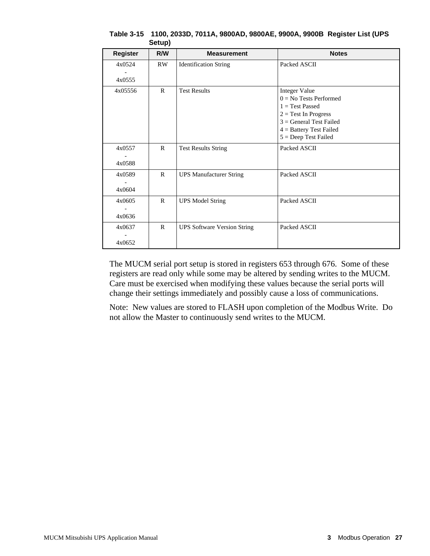| <b>Register</b>  | R/W          | <b>Measurement</b>                 | <b>Notes</b>                                                                                                                                                                        |
|------------------|--------------|------------------------------------|-------------------------------------------------------------------------------------------------------------------------------------------------------------------------------------|
| 4x0524<br>4x0555 | RW.          | <b>Identification String</b>       | Packed ASCII                                                                                                                                                                        |
| 4x05556          | $\mathsf{R}$ | <b>Test Results</b>                | <b>Integer Value</b><br>$0 = No$ Tests Performed<br>$1 = Test$ Passed<br>$2 = Test In Progress$<br>$3 = General Test Failed$<br>$4 =$ Battery Test Failed<br>$5 = Deep Test Failed$ |
| 4x0557<br>4x0588 | $\mathbf{R}$ | <b>Test Results String</b>         | Packed ASCII                                                                                                                                                                        |
| 4x0589<br>4x0604 | $\mathsf{R}$ | <b>UPS Manufacturer String</b>     | Packed ASCII                                                                                                                                                                        |
| 4x0605<br>4x0636 | $\mathbf{R}$ | <b>UPS Model String</b>            | Packed ASCII                                                                                                                                                                        |
| 4x0637<br>4x0652 | $\mathsf{R}$ | <b>UPS Software Version String</b> | Packed ASCII                                                                                                                                                                        |

**Table 3-15 1100, 2033D, 7011A, 9800AD, 9800AE, 9900A, 9900B Register List (UPS Setup)**

The MUCM serial port setup is stored in registers 653 through 676. Some of these registers are read only while some may be altered by sending writes to the MUCM. Care must be exercised when modifying these values because the serial ports will change their settings immediately and possibly cause a loss of communications.

Note: New values are stored to FLASH upon completion of the Modbus Write. Do not allow the Master to continuously send writes to the MUCM.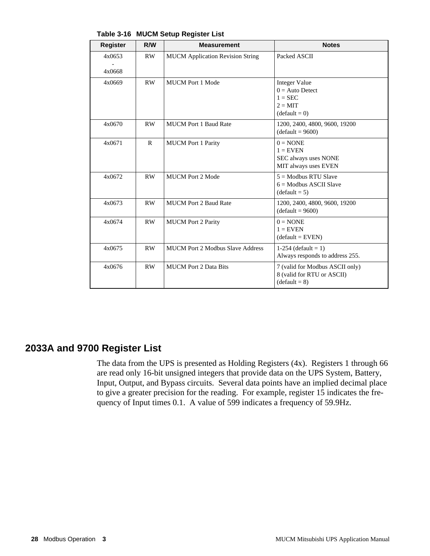| <b>Register</b>  | R/W          | <b>Measurement</b>                      | <b>Notes</b>                                                                                  |
|------------------|--------------|-----------------------------------------|-----------------------------------------------------------------------------------------------|
| 4x0653<br>4x0668 | RW           | <b>MUCM</b> Application Revision String | Packed ASCII                                                                                  |
| 4x0669           | <b>RW</b>    | <b>MUCM Port 1 Mode</b>                 | <b>Integer Value</b><br>$0 = Auto$ Detect<br>$1 = \text{SEC}$<br>$2 = MIT$<br>$(detault = 0)$ |
| 4x0670           | <b>RW</b>    | <b>MUCM Port 1 Baud Rate</b>            | 1200, 2400, 4800, 9600, 19200<br>$(detault = 9600)$                                           |
| 4x0671           | $\mathbb{R}$ | <b>MUCM</b> Port 1 Parity               | $0 = \text{NONE}$<br>$1 =$ EVEN<br>SEC always uses NONE<br>MIT always uses EVEN               |
| 4x0672           | <b>RW</b>    | <b>MUCM Port 2 Mode</b>                 | $5 =$ Modbus RTU Slave<br>$6 =$ Modbus ASCII Slave<br>$(default = 5)$                         |
| 4x0673           | RW.          | <b>MUCM Port 2 Baud Rate</b>            | 1200, 2400, 4800, 9600, 19200<br>$(detault = 9600)$                                           |
| 4x0674           | RW           | <b>MUCM</b> Port 2 Parity               | $0 = \text{NONE}$<br>$1 =$ EVEN<br>$(detault = EVEN)$                                         |
| 4x0675           | RW           | <b>MUCM Port 2 Modbus Slave Address</b> | 1-254 (default = 1)<br>Always responds to address 255.                                        |
| 4x0676           | <b>RW</b>    | <b>MUCM</b> Port 2 Data Bits            | 7 (valid for Modbus ASCII only)<br>8 (valid for RTU or ASCII)<br>$(default = 8)$              |

**Table 3-16 MUCM Setup Register List**

## **2033A and 9700 Register List**

The data from the UPS is presented as Holding Registers (4x). Registers 1 through 66 are read only 16-bit unsigned integers that provide data on the UPS System, Battery, Input, Output, and Bypass circuits. Several data points have an implied decimal place to give a greater precision for the reading. For example, register 15 indicates the frequency of Input times 0.1. A value of 599 indicates a frequency of 59.9Hz.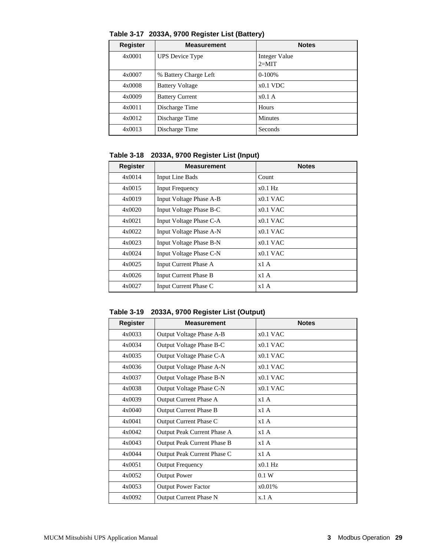| <b>Register</b> | <b>Measurement</b>     | <b>Notes</b>             |
|-----------------|------------------------|--------------------------|
| 4x0001          | <b>UPS</b> Device Type | Integer Value<br>$2=MIT$ |
| 4x0007          | % Battery Charge Left  | $0-100%$                 |
| 4x0008          | <b>Battery Voltage</b> | $x0.1$ VDC               |
| 4x0009          | <b>Battery Current</b> | x0.1A                    |
| 4x0011          | Discharge Time         | Hours                    |
| 4x0012          | Discharge Time         | <b>Minutes</b>           |
| 4x0013          | Discharge Time         | Seconds                  |

**Table 3-17 2033A, 9700 Register List (Battery)**

**Table 3-18 2033A, 9700 Register List (Input)**

| Register | <b>Measurement</b>           | <b>Notes</b> |
|----------|------------------------------|--------------|
| 4x0014   | <b>Input Line Bads</b>       | Count        |
| 4x0015   | <b>Input Frequency</b>       | $x0.1$ Hz    |
| 4x0019   | Input Voltage Phase A-B      | $x0.1$ VAC   |
| 4x0020   | Input Voltage Phase B-C      | $x0.1$ VAC   |
| 4x0021   | Input Voltage Phase C-A      | $x0.1$ VAC   |
| 4x0022   | Input Voltage Phase A-N      | $x0.1$ VAC   |
| 4x0023   | Input Voltage Phase B-N      | $x0.1$ VAC   |
| 4x0024   | Input Voltage Phase C-N      | $x0.1$ VAC   |
| 4x0025   | <b>Input Current Phase A</b> | x1A          |
| 4x0026   | <b>Input Current Phase B</b> | x1A          |
| 4x0027   | Input Current Phase C        | x1A          |

**Table 3-19 2033A, 9700 Register List (Output)**

| <b>Register</b> | <b>Measurement</b>            | <b>Notes</b> |
|-----------------|-------------------------------|--------------|
| 4x0033          | Output Voltage Phase A-B      | $x0.1$ VAC   |
| 4x0034          | Output Voltage Phase B-C      | $x0.1$ VAC   |
| 4x0035          | Output Voltage Phase C-A      | $x0.1$ VAC   |
| 4x0036          | Output Voltage Phase A-N      | $x0.1$ VAC   |
| 4x0037          | Output Voltage Phase B-N      | $x0.1$ VAC   |
| 4x0038          | Output Voltage Phase C-N      | $x0.1$ VAC   |
| 4x0039          | Output Current Phase A        | x1A          |
| 4x0040          | <b>Output Current Phase B</b> | x1A          |
| 4x0041          | Output Current Phase C        | x1A          |
| 4x0042          | Output Peak Current Phase A   | x1A          |
| 4x0043          | Output Peak Current Phase B   | x1A          |
| 4x0044          | Output Peak Current Phase C   | x1A          |
| 4x0051          | <b>Output Frequency</b>       | $x0.1$ Hz    |
| 4x0052          | <b>Output Power</b>           | 0.1 W        |
| 4x0053          | <b>Output Power Factor</b>    | x0.01%       |
| 4x0092          | <b>Output Current Phase N</b> | x.1A         |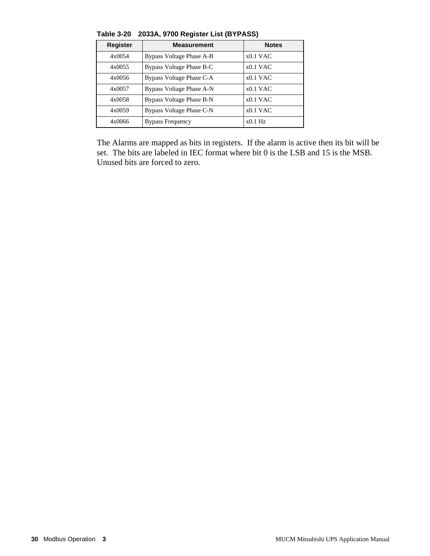| <b>Register</b> | <b>Measurement</b>       | <b>Notes</b> |
|-----------------|--------------------------|--------------|
| 4x0054          | Bypass Voltage Phase A-B | $x0.1$ VAC   |
| 4x0055          | Bypass Voltage Phase B-C | $x0.1$ VAC   |
| 4x0056          | Bypass Voltage Phase C-A | $x0.1$ VAC   |
| 4x0057          | Bypass Voltage Phase A-N | $x0.1$ VAC   |
| 4x0058          | Bypass Voltage Phase B-N | $x0.1$ VAC   |
| 4x0059          | Bypass Voltage Phase C-N | $x0.1$ VAC   |
| 4x0066          | <b>Bypass Frequency</b>  | $x0.1$ Hz    |

**Table 3-20 2033A, 9700 Register List (BYPASS)**

The Alarms are mapped as bits in registers. If the alarm is active then its bit will be set. The bits are labeled in IEC format where bit 0 is the LSB and 15 is the MSB. Unused bits are forced to zero.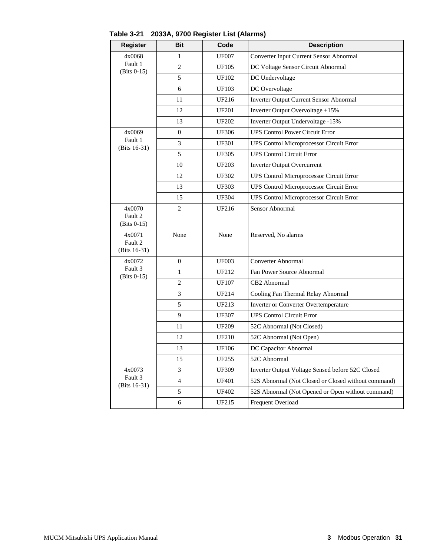| <b>Register</b>          | Bit            | Code         | <b>Description</b>                                  |
|--------------------------|----------------|--------------|-----------------------------------------------------|
| 4x0068                   | 1              | <b>UF007</b> | Converter Input Current Sensor Abnormal             |
| Fault 1<br>$(Bits 0-15)$ | $\overline{2}$ | <b>UF105</b> | DC Voltage Sensor Circuit Abnormal                  |
|                          | 5              | <b>UF102</b> | DC Undervoltage                                     |
|                          | 6              | <b>UF103</b> | DC Overvoltage                                      |
|                          | 11             | UF216        | <b>Inverter Output Current Sensor Abnormal</b>      |
|                          | 12             | <b>UF201</b> | Inverter Output Overvoltage +15%                    |
|                          | 13             | <b>UF202</b> | Inverter Output Undervoltage -15%                   |
| 4x0069                   | $\overline{0}$ | <b>UF306</b> | <b>UPS Control Power Circuit Error</b>              |
| Fault 1<br>(Bits 16-31)  | 3              | <b>UF301</b> | <b>UPS Control Microprocessor Circuit Error</b>     |
|                          | 5              | <b>UF305</b> | <b>UPS Control Circuit Error</b>                    |
|                          | 10             | <b>UF203</b> | <b>Inverter Output Overcurrent</b>                  |
|                          | 12             | <b>UF302</b> | <b>UPS Control Microprocessor Circuit Error</b>     |
|                          | 13             | <b>UF303</b> | <b>UPS Control Microprocessor Circuit Error</b>     |
|                          | 15             | <b>UF304</b> | <b>UPS Control Microprocessor Circuit Error</b>     |
| 4x0070                   | 2              | <b>UF216</b> | Sensor Abnormal                                     |
| Fault 2<br>$(Bits 0-15)$ |                |              |                                                     |
| 4x0071                   | None           | None         | Reserved, No alarms                                 |
| Fault 2<br>(Bits 16-31)  |                |              |                                                     |
| 4x0072                   | $\overline{0}$ | <b>UF003</b> | Converter Abnormal                                  |
| Fault 3                  | $\mathbf{1}$   | UF212        | Fan Power Source Abnormal                           |
| $(Bits 0-15)$            | $\overline{2}$ | <b>UF107</b> | CB2 Abnormal                                        |
|                          | 3              | UF214        | Cooling Fan Thermal Relay Abnormal                  |
|                          | 5              | UF213        | Inverter or Converter Overtemperature               |
|                          | 9              | <b>UF307</b> | <b>UPS Control Circuit Error</b>                    |
|                          |                |              |                                                     |
|                          | 11             | <b>UF209</b> | 52C Abnormal (Not Closed)                           |
|                          | 12             | UF210        | 52C Abnormal (Not Open)                             |
|                          | 13             | <b>UF106</b> | DC Capacitor Abnormal                               |
|                          | 15             | UF255        | 52C Abnormal                                        |
| 4x0073                   | 3              | <b>UF309</b> | Inverter Output Voltage Sensed before 52C Closed    |
| Fault 3<br>(Bits 16-31)  | $\overline{4}$ | <b>UF401</b> | 52S Abnormal (Not Closed or Closed without command) |
|                          | 5              | <b>UF402</b> | 52S Abnormal (Not Opened or Open without command)   |
|                          | 6              | UF215        | Frequent Overload                                   |

**Table 3-21 2033A, 9700 Register List (Alarms)**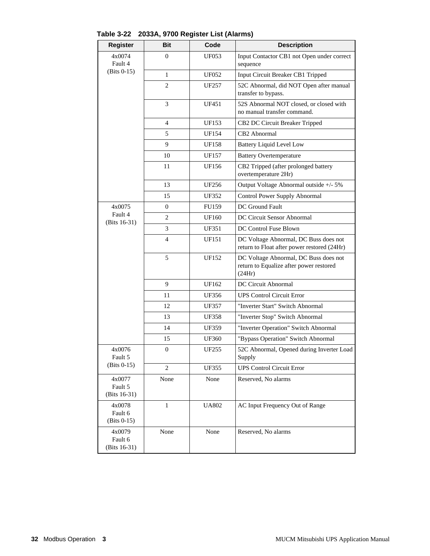| <b>Register</b>                    | <b>Bit</b>       | Code              | <b>Description</b>                                                                         |
|------------------------------------|------------------|-------------------|--------------------------------------------------------------------------------------------|
| 4x0074<br>Fault 4                  | $\mathbf{0}$     | UF053             | Input Contactor CB1 not Open under correct<br>sequence                                     |
| $(Bits 0-15)$                      | 1                | <b>UF052</b>      | Input Circuit Breaker CB1 Tripped                                                          |
|                                    | $\overline{c}$   | UF257             | 52C Abnormal, did NOT Open after manual<br>transfer to bypass.                             |
|                                    | 3                | UF451             | 52S Abnormal NOT closed, or closed with<br>no manual transfer command.                     |
|                                    | 4                | <b>UF153</b>      | CB2 DC Circuit Breaker Tripped                                                             |
|                                    | 5                | UF154             | CB2 Abnormal                                                                               |
|                                    | 9                | <b>UF158</b>      | <b>Battery Liquid Level Low</b>                                                            |
|                                    | 10               | UF157             | <b>Battery Overtemperature</b>                                                             |
|                                    | 11               | UF156             | CB2 Tripped (after prolonged battery<br>overtemperature 2Hr)                               |
|                                    | 13               | UF256             | Output Voltage Abnormal outside +/- 5%                                                     |
|                                    | 15               | <b>UF352</b>      | Control Power Supply Abnormal                                                              |
| 4x0075                             | $\boldsymbol{0}$ | <b>FU159</b>      | DC Ground Fault                                                                            |
| Fault 4<br>(Bits $16-31$ )         | 2                | UF160             | DC Circuit Sensor Abnormal                                                                 |
|                                    | 3                | <b>UF351</b>      | DC Control Fuse Blown                                                                      |
|                                    | $\overline{4}$   | UF151             | DC Voltage Abnormal, DC Buss does not<br>return to Float after power restored (24Hr)       |
|                                    | 5                | UF152             | DC Voltage Abnormal, DC Buss does not<br>return to Equalize after power restored<br>(24Hr) |
|                                    | 9                | UF162             | DC Circuit Abnormal                                                                        |
|                                    | 11               | UF356             | <b>UPS Control Circuit Error</b>                                                           |
|                                    | 12               | UF357             | "Inverter Start" Switch Abnormal                                                           |
|                                    | 13               | <b>UF358</b>      | "Inverter Stop" Switch Abnormal                                                            |
|                                    | 14               | UF359             | "Inverter Operation" Switch Abnormal                                                       |
|                                    | 15               | <b>UF360</b>      | "Bypass Operation" Switch Abnormal                                                         |
| 4x0076<br>Fault 5                  | $\boldsymbol{0}$ | UF <sub>255</sub> | 52C Abnormal, Opened during Inverter Load<br>Supply                                        |
| $(Bits 0-15)$                      | 2                | <b>UF355</b>      | <b>UPS Control Circuit Error</b>                                                           |
| 4x0077<br>Fault 5<br>(Bits 16-31)  | None             | None              | Reserved, No alarms                                                                        |
| 4x0078<br>Fault 6<br>$(Bits 0-15)$ | $\mathbf{1}$     | <b>UA802</b>      | AC Input Frequency Out of Range                                                            |
| 4x0079<br>Fault 6<br>(Bits 16-31)  | None             | None              | Reserved, No alarms                                                                        |

**Table 3-22 2033A, 9700 Register List (Alarms)**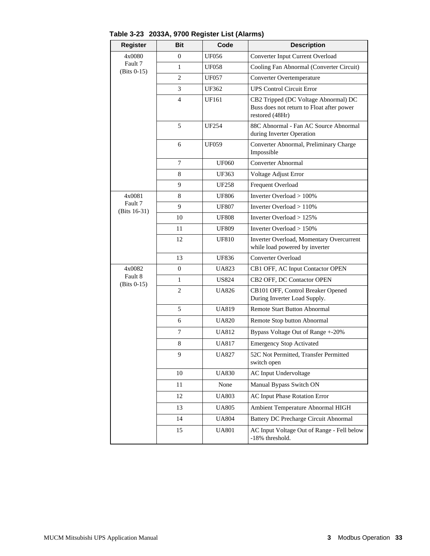| <b>Register</b>         | Bit            | Code         | <b>Description</b>                                                                                   |
|-------------------------|----------------|--------------|------------------------------------------------------------------------------------------------------|
| 4x0080                  | $\overline{0}$ | <b>UF056</b> | Converter Input Current Overload                                                                     |
| Fault 7<br>(Bits 0-15)  | $\mathbf{1}$   | <b>UF058</b> | Cooling Fan Abnormal (Converter Circuit)                                                             |
|                         | $\overline{c}$ | <b>UF057</b> | Converter Overtemperature                                                                            |
|                         | 3              | UF362        | <b>UPS Control Circuit Error</b>                                                                     |
|                         | 4              | UF161        | CB2 Tripped (DC Voltage Abnormal) DC<br>Buss does not return to Float after power<br>restored (48Hr) |
|                         | 5              | <b>UF254</b> | 88C Abnormal - Fan AC Source Abnormal<br>during Inverter Operation                                   |
|                         | 6              | UF059        | Converter Abnormal, Preliminary Charge<br>Impossible                                                 |
|                         | 7              | <b>UF060</b> | Converter Abnormal                                                                                   |
|                         | 8              | UF363        | Voltage Adjust Error                                                                                 |
|                         | 9              | <b>UF258</b> | Frequent Overload                                                                                    |
| 4x0081                  | 8              | <b>UF806</b> | Inverter Overload > 100%                                                                             |
| Fault 7<br>(Bits 16-31) | 9              | <b>UF807</b> | Inverter Overload $> 110\%$                                                                          |
|                         | 10             | <b>UF808</b> | Inverter Overload $>125\%$                                                                           |
|                         | 11             | <b>UF809</b> | Inverter Overload > 150%                                                                             |
|                         | 12             | <b>UF810</b> | Inverter Overload, Momentary Overcurrent<br>while load powered by inverter                           |
|                         | 13             | UF836        | Converter Overload                                                                                   |
| 4x0082                  | $\overline{0}$ | UA823        | CB1 OFF, AC Input Contactor OPEN                                                                     |
| Fault 8<br>(Bits 0-15)  | $\mathbf{1}$   | US824        | CB2 OFF, DC Contactor OPEN                                                                           |
|                         | $\overline{c}$ | UA826        | CB101 OFF, Control Breaker Opened<br>During Inverter Load Supply.                                    |
|                         | 5              | <b>UA819</b> | <b>Remote Start Button Abnormal</b>                                                                  |
|                         | 6              | <b>UA820</b> | Remote Stop button Abnormal                                                                          |
|                         | 7              | UA812        | Bypass Voltage Out of Range +-20%                                                                    |
|                         | 8              | <b>UA817</b> | <b>Emergency Stop Activated</b>                                                                      |
|                         | 9              | <b>UA827</b> | 52C Not Permitted, Transfer Permitted<br>switch open                                                 |
|                         | 10             | <b>UA830</b> | AC Input Undervoltage                                                                                |
|                         | 11             | None         | Manual Bypass Switch ON                                                                              |
|                         | 12             | UA803        | AC Input Phase Rotation Error                                                                        |
|                         | 13             | UA805        | Ambient Temperature Abnormal HIGH                                                                    |
|                         | 14             | <b>UA804</b> | <b>Battery DC Precharge Circuit Abnormal</b>                                                         |
|                         | 15             | <b>UA801</b> | AC Input Voltage Out of Range - Fell below<br>-18% threshold.                                        |

**Table 3-23 2033A, 9700 Register List (Alarms)**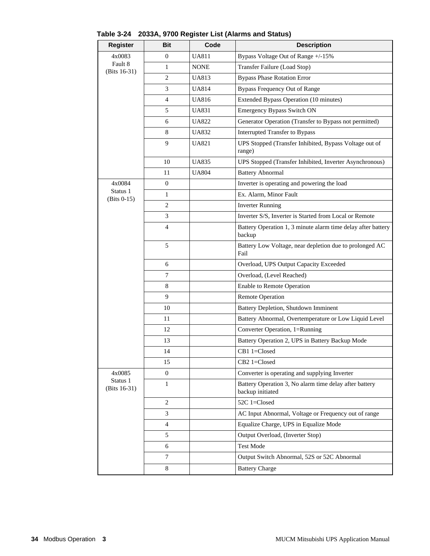| <b>Register</b>           | <b>Bit</b>     | Code         | <b>Description</b>                                                         |
|---------------------------|----------------|--------------|----------------------------------------------------------------------------|
| 4x0083                    | $\overline{0}$ | <b>UA811</b> | Bypass Voltage Out of Range +/-15%                                         |
| Fault 8<br>(Bits 16-31)   | 1              | <b>NONE</b>  | Transfer Failure (Load Stop)                                               |
|                           | $\overline{c}$ | <b>UA813</b> | <b>Bypass Phase Rotation Error</b>                                         |
|                           | 3              | UA814        | <b>Bypass Frequency Out of Range</b>                                       |
|                           | 4              | <b>UA816</b> | Extended Bypass Operation (10 minutes)                                     |
|                           | 5              | <b>UA831</b> | <b>Emergency Bypass Switch ON</b>                                          |
|                           | 6              | <b>UA822</b> | Generator Operation (Transfer to Bypass not permitted)                     |
|                           | 8              | <b>UA832</b> | <b>Interrupted Transfer to Bypass</b>                                      |
|                           | 9              | <b>UA821</b> | UPS Stopped (Transfer Inhibited, Bypass Voltage out of<br>range)           |
|                           | 10             | <b>UA835</b> | UPS Stopped (Transfer Inhibited, Inverter Asynchronous)                    |
|                           | 11             | <b>UA804</b> | <b>Battery Abnormal</b>                                                    |
| 4x0084                    | $\mathbf{0}$   |              | Inverter is operating and powering the load                                |
| Status 1<br>$(Bits 0-15)$ | 1              |              | Ex. Alarm, Minor Fault                                                     |
|                           | $\mathbf{2}$   |              | <b>Inverter Running</b>                                                    |
|                           | 3              |              | Inverter S/S, Inverter is Started from Local or Remote                     |
|                           | 4              |              | Battery Operation 1, 3 minute alarm time delay after battery<br>backup     |
|                           | 5              |              | Battery Low Voltage, near depletion due to prolonged AC<br>Fail            |
|                           | 6              |              | Overload, UPS Output Capacity Exceeded                                     |
|                           | $\tau$         |              | Overload, (Level Reached)                                                  |
|                           | 8              |              | <b>Enable to Remote Operation</b>                                          |
|                           | 9              |              | <b>Remote Operation</b>                                                    |
|                           | 10             |              | Battery Depletion, Shutdown Imminent                                       |
|                           | 11             |              | Battery Abnormal, Overtemperature or Low Liquid Level                      |
|                           | 12             |              | Converter Operation, 1=Running                                             |
|                           | 13             |              | Battery Operation 2, UPS in Battery Backup Mode                            |
|                           | 14             |              | CB1 1=Closed                                                               |
|                           | 15             |              | CB2 1=Closed                                                               |
| 4x0085                    | $\overline{0}$ |              | Converter is operating and supplying Inverter                              |
| Status 1<br>(Bits 16-31)  | 1              |              | Battery Operation 3, No alarm time delay after battery<br>backup initiated |
|                           | 2              |              | 52C 1=Closed                                                               |
|                           | 3              |              | AC Input Abnormal, Voltage or Frequency out of range                       |
|                           | 4              |              | Equalize Charge, UPS in Equalize Mode                                      |
|                           | 5              |              | Output Overload, (Inverter Stop)                                           |
|                           | 6              |              | Test Mode                                                                  |
|                           | $\tau$         |              | Output Switch Abnormal, 52S or 52C Abnormal                                |
|                           | 8              |              | <b>Battery Charge</b>                                                      |

#### **Table 3-24 2033A, 9700 Register List (Alarms and Status)**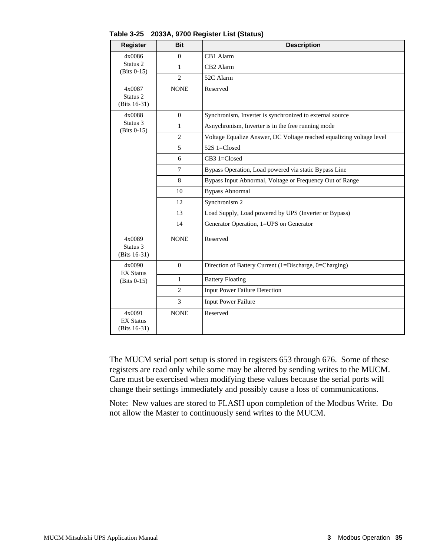| <b>Register</b>                                 | <b>Bit</b>     | <b>Description</b>                                                   |  |  |  |
|-------------------------------------------------|----------------|----------------------------------------------------------------------|--|--|--|
| 4x0086                                          | $\mathbf{0}$   | CB1 Alarm                                                            |  |  |  |
| Status <sub>2</sub><br>$(Bits 0-15)$            | $\mathbf{1}$   | CB <sub>2</sub> Alarm                                                |  |  |  |
|                                                 | $\overline{c}$ | 52C Alarm                                                            |  |  |  |
| 4x0087<br>Status <sub>2</sub><br>$(Bits 16-31)$ | <b>NONE</b>    | Reserved                                                             |  |  |  |
| 4x0088                                          | $\overline{0}$ | Synchronism, Inverter is synchronized to external source             |  |  |  |
| Status 3<br>$(Bits 0-15)$                       | $\mathbf{1}$   | Asnychronism, Inverter is in the free running mode                   |  |  |  |
|                                                 | $\overline{c}$ | Voltage Equalize Answer, DC Voltage reached equalizing voltage level |  |  |  |
|                                                 | 5              | 52S 1=Closed                                                         |  |  |  |
|                                                 | 6              | CB3 1=Closed                                                         |  |  |  |
|                                                 | 7              | Bypass Operation, Load powered via static Bypass Line                |  |  |  |
|                                                 | 8              | Bypass Input Abnormal, Voltage or Frequency Out of Range             |  |  |  |
|                                                 | 10             | <b>Bypass Abnormal</b>                                               |  |  |  |
|                                                 | 12             | Synchronism 2                                                        |  |  |  |
|                                                 | 13             | Load Supply, Load powered by UPS (Inverter or Bypass)                |  |  |  |
|                                                 | 14             | Generator Operation, 1=UPS on Generator                              |  |  |  |
| 4x0089<br>Status 3<br>(Bits 16-31)              | <b>NONE</b>    | Reserved                                                             |  |  |  |
| 4x0090<br><b>EX Status</b>                      | $\theta$       | Direction of Battery Current (1=Discharge, 0=Charging)               |  |  |  |
| $(Bits 0-15)$                                   | $\mathbf{1}$   | <b>Battery Floating</b>                                              |  |  |  |
|                                                 | $\mathbf{2}$   | <b>Input Power Failure Detection</b>                                 |  |  |  |
|                                                 | 3              | <b>Input Power Failure</b>                                           |  |  |  |
| 4x0091<br><b>EX Status</b><br>(Bits 16-31)      | <b>NONE</b>    | Reserved                                                             |  |  |  |

**Table 3-25 2033A, 9700 Register List (Status)**

The MUCM serial port setup is stored in registers 653 through 676. Some of these registers are read only while some may be altered by sending writes to the MUCM. Care must be exercised when modifying these values because the serial ports will change their settings immediately and possibly cause a loss of communications.

Note: New values are stored to FLASH upon completion of the Modbus Write. Do not allow the Master to continuously send writes to the MUCM.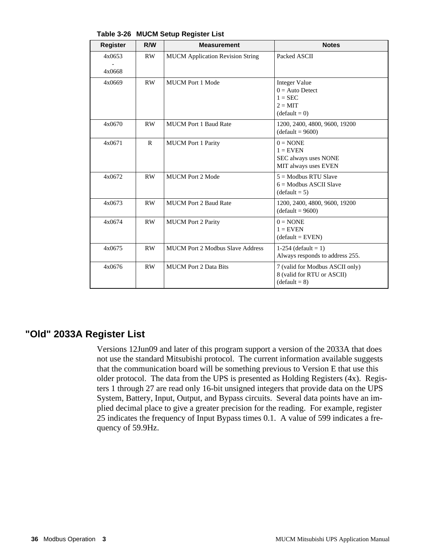| <b>Register</b>  | R/W          | <b>Measurement</b>                      | <b>Notes</b>                                                                                  |
|------------------|--------------|-----------------------------------------|-----------------------------------------------------------------------------------------------|
| 4x0653<br>4x0668 | RW           | <b>MUCM</b> Application Revision String | Packed ASCII                                                                                  |
| 4x0669           | <b>RW</b>    | <b>MUCM</b> Port 1 Mode                 | <b>Integer Value</b><br>$0 =$ Auto Detect<br>$1 = \text{SEC}$<br>$2 = MIT$<br>$(detault = 0)$ |
| 4x0670           | RW           | <b>MUCM Port 1 Baud Rate</b>            | 1200, 2400, 4800, 9600, 19200<br>$(detault = 9600)$                                           |
| 4x0671           | $\mathbb{R}$ | <b>MUCM</b> Port 1 Parity               | $0 = \text{NONE}$<br>$1 =$ EVEN<br>SEC always uses NONE<br>MIT always uses EVEN               |
| 4x0672           | RW           | <b>MUCM Port 2 Mode</b>                 | $5 =$ Modbus RTU Slave<br>$6 =$ Modbus ASCII Slave<br>$(default = 5)$                         |
| 4x0673           | RW           | <b>MUCM Port 2 Baud Rate</b>            | 1200, 2400, 4800, 9600, 19200<br>$(default = 9600)$                                           |
| 4x0674           | <b>RW</b>    | <b>MUCM</b> Port 2 Parity               | $0 = \text{NONE}$<br>$1 =$ EVEN<br>$(default = EVEN)$                                         |
| 4x0675           | RW           | <b>MUCM Port 2 Modbus Slave Address</b> | 1-254 (default = 1)<br>Always responds to address 255.                                        |
| 4x0676           | RW           | <b>MUCM</b> Port 2 Data Bits            | 7 (valid for Modbus ASCII only)<br>8 (valid for RTU or ASCII)<br>$(default = 8)$              |

**Table 3-26 MUCM Setup Register List**

## **"Old" 2033A Register List**

Versions 12Jun09 and later of this program support a version of the 2033A that does not use the standard Mitsubishi protocol. The current information available suggests that the communication board will be something previous to Version E that use this older protocol. The data from the UPS is presented as Holding Registers (4x). Registers 1 through 27 are read only 16-bit unsigned integers that provide data on the UPS System, Battery, Input, Output, and Bypass circuits. Several data points have an implied decimal place to give a greater precision for the reading. For example, register 25 indicates the frequency of Input Bypass times 0.1. A value of 599 indicates a frequency of 59.9Hz.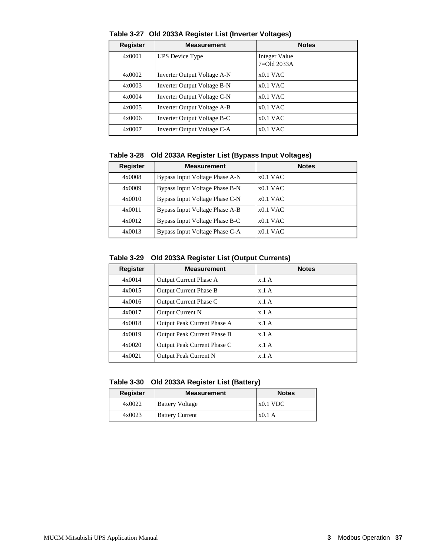| <b>Register</b> | <b>Measurement</b>          | <b>Notes</b>                     |
|-----------------|-----------------------------|----------------------------------|
| 4x0001          | <b>UPS</b> Device Type      | Integer Value<br>$7 =$ Old 2033A |
| 4x0002          | Inverter Output Voltage A-N | $x0.1$ VAC                       |
| 4x0003          | Inverter Output Voltage B-N | $x0.1$ VAC                       |
| 4x0004          | Inverter Output Voltage C-N | $x0.1$ VAC                       |
| 4x0005          | Inverter Output Voltage A-B | $x0.1$ VAC                       |
| 4x0006          | Inverter Output Voltage B-C | $x0.1$ VAC                       |
| 4x0007          | Inverter Output Voltage C-A | $x0.1$ VAC                       |

**Table 3-27 Old 2033A Register List (Inverter Voltages)**

**Table 3-28 Old 2033A Register List (Bypass Input Voltages)**

| <b>Register</b> | <b>Measurement</b>             | <b>Notes</b> |
|-----------------|--------------------------------|--------------|
| 4x0008          | Bypass Input Voltage Phase A-N | $x0.1$ VAC   |
| 4x0009          | Bypass Input Voltage Phase B-N | $x0.1$ VAC   |
| 4x0010          | Bypass Input Voltage Phase C-N | $x0.1$ VAC   |
| 4x0011          | Bypass Input Voltage Phase A-B | $x0.1$ VAC   |
| 4x0012          | Bypass Input Voltage Phase B-C | $x0.1$ VAC   |
| 4x0013          | Bypass Input Voltage Phase C-A | $x0.1$ VAC   |

#### **Table 3-29 Old 2033A Register List (Output Currents)**

| <b>Register</b> | <b>Measurement</b>                 | <b>Notes</b> |
|-----------------|------------------------------------|--------------|
| 4x0014          | <b>Output Current Phase A</b>      | x.1A         |
| 4x0015          | <b>Output Current Phase B</b>      | x.1A         |
| 4x0016          | Output Current Phase C             | x.1A         |
| 4x0017          | <b>Output Current N</b>            | x.1A         |
| 4x0018          | Output Peak Current Phase A        | x.1A         |
| 4x0019          | <b>Output Peak Current Phase B</b> | x.1A         |
| 4x0020          | Output Peak Current Phase C        | x.1A         |
| 4x0021          | Output Peak Current N              | x.1A         |

#### **Table 3-30 Old 2033A Register List (Battery)**

| <b>Register</b> | <b>Measurement</b>     | <b>Notes</b> |
|-----------------|------------------------|--------------|
| 4x0022          | <b>Battery Voltage</b> | $x0.1$ VDC   |
| 4x0023          | <b>Battery Current</b> | x0.1A        |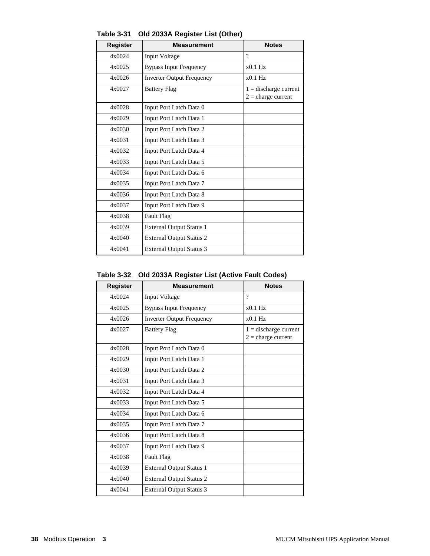| <b>Register</b> | Measurement                      | <b>Notes</b>                                    |
|-----------------|----------------------------------|-------------------------------------------------|
| 4x0024          | <b>Input Voltage</b>             | $\gamma$                                        |
| 4x0025          | <b>Bypass Input Frequency</b>    | $x0.1$ Hz                                       |
| 4x0026          | <b>Inverter Output Frequency</b> | $x0.1$ Hz                                       |
| 4x0027          | <b>Battery Flag</b>              | $1 =$ discharge current<br>$2 = charge current$ |
| 4x0028          | Input Port Latch Data 0          |                                                 |
| 4x0029          | Input Port Latch Data 1          |                                                 |
| 4x0030          | Input Port Latch Data 2          |                                                 |
| 4x0031          | Input Port Latch Data 3          |                                                 |
| 4x0032          | Input Port Latch Data 4          |                                                 |
| 4x0033          | Input Port Latch Data 5          |                                                 |
| 4x0034          | Input Port Latch Data 6          |                                                 |
| 4x0035          | Input Port Latch Data 7          |                                                 |
| 4x0036          | Input Port Latch Data 8          |                                                 |
| 4x0037          | Input Port Latch Data 9          |                                                 |
| 4x0038          | <b>Fault Flag</b>                |                                                 |
| 4x0039          | <b>External Output Status 1</b>  |                                                 |
| 4x0040          | <b>External Output Status 2</b>  |                                                 |
| 4x0041          | <b>External Output Status 3</b>  |                                                 |

**Table 3-31 Old 2033A Register List (Other)**

#### **Table 3-32 Old 2033A Register List (Active Fault Codes)**

| Register | <b>Measurement</b>               | <b>Notes</b>                                    |
|----------|----------------------------------|-------------------------------------------------|
| 4x0024   | Input Voltage                    | $\gamma$                                        |
| 4x0025   | <b>Bypass Input Frequency</b>    | $x0.1$ Hz                                       |
| 4x0026   | <b>Inverter Output Frequency</b> | $x0.1$ Hz                                       |
| 4x0027   | <b>Battery Flag</b>              | $1 =$ discharge current<br>$2 = charge current$ |
| 4x0028   | Input Port Latch Data 0          |                                                 |
| 4x0029   | Input Port Latch Data 1          |                                                 |
| 4x0030   | Input Port Latch Data 2          |                                                 |
| 4x0031   | Input Port Latch Data 3          |                                                 |
| 4x0032   | Input Port Latch Data 4          |                                                 |
| 4x0033   | Input Port Latch Data 5          |                                                 |
| 4x0034   | Input Port Latch Data 6          |                                                 |
| 4x0035   | Input Port Latch Data 7          |                                                 |
| 4x0036   | Input Port Latch Data 8          |                                                 |
| 4x0037   | Input Port Latch Data 9          |                                                 |
| 4x0038   | Fault Flag                       |                                                 |
| 4x0039   | <b>External Output Status 1</b>  |                                                 |
| 4x0040   | <b>External Output Status 2</b>  |                                                 |
| 4x0041   | <b>External Output Status 3</b>  |                                                 |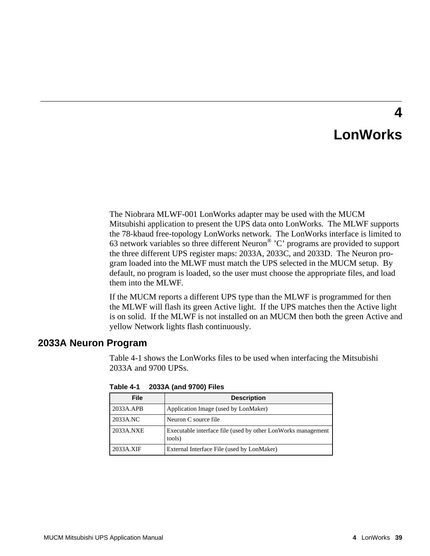# **LonWorks**

**4**

The Niobrara MLWF-001 LonWorks adapter may be used with the MUCM Mitsubishi application to present the UPS data onto LonWorks. The MLWF supports the 78-kbaud free-topology LonWorks network. The LonWorks interface is limited to 63 network variables so three different Neuron® 'C' programs are provided to support the three different UPS register maps: 2033A, 2033C, and 2033D. The Neuron program loaded into the MLWF must match the UPS selected in the MUCM setup. By default, no program is loaded, so the user must choose the appropriate files, and load them into the MLWF.

If the MUCM reports a different UPS type than the MLWF is programmed for then the MLWF will flash its green Active light. If the UPS matches then the Active light is on solid. If the MLWF is not installed on an MUCM then both the green Active and yellow Network lights flash continuously.

## **2033A Neuron Program**

Table 4-1 shows the LonWorks files to be used when interfacing the Mitsubishi 2033A and 9700 UPSs.

| <b>File</b> | <b>Description</b>                                                     |
|-------------|------------------------------------------------------------------------|
| 2033A.APB   | Application Image (used by LonMaker)                                   |
| 2033A.NC    | Neuron C source file                                                   |
| 2033A.NXE   | Executable interface file (used by other LonWorks management<br>tools) |
| 2033A.XIF   | External Interface File (used by LonMaker)                             |

**Table 4-1 2033A (and 9700) Files**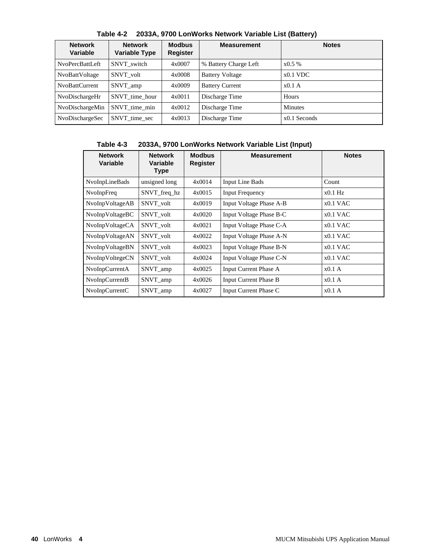| <b>Network</b><br>Variable | <b>Network</b><br><b>Variable Type</b> | <b>Modbus</b><br>Register | <b>Measurement</b>     | <b>Notes</b>   |
|----------------------------|----------------------------------------|---------------------------|------------------------|----------------|
| NvoPercBattLeft            | SNVT switch                            | 4x0007                    | % Battery Charge Left  | $x0.5\%$       |
| NvoBattVoltage             | SNVT volt                              | 4x0008                    | <b>Battery Voltage</b> | $x0.1$ VDC     |
| NvoBattCurrent             | SNVT_amp                               | 4x0009                    | <b>Battery Current</b> | x0.1A          |
| NvoDischargeHr             | SNVT time hour                         | 4x0011                    | Discharge Time         | Hours          |
| NvoDischargeMin            | SNVT time min                          | 4x0012                    | Discharge Time         | <b>Minutes</b> |
| NvoDischargeSec            | SNVT time sec                          | 4x0013                    | Discharge Time         | $x0.1$ Seconds |

**Table 4-2 2033A, 9700 LonWorks Network Variable List (Battery)**

### **Table 4-3 2033A, 9700 LonWorks Network Variable List (Input)**

| <b>Network</b><br>Variable | <b>Network</b><br>Variable<br><b>Type</b> | <b>Modbus</b><br><b>Register</b> | <b>Measurement</b>           | <b>Notes</b> |
|----------------------------|-------------------------------------------|----------------------------------|------------------------------|--------------|
| NvoInpLineBads             | unsigned long                             | 4x0014                           | <b>Input Line Bads</b>       | Count        |
| NvoInpFreq                 | SNVT_freq_hz                              | 4x0015                           | <b>Input Frequency</b>       | $x0.1$ Hz    |
| NvoInpVoltageAB            | SNVT volt                                 | 4x0019                           | Input Voltage Phase A-B      | $x0.1$ VAC   |
| NvoInpVoltageBC            | SNVT volt                                 | 4x0020                           | Input Voltage Phase B-C      | $x0.1$ VAC   |
| NvoInpVoltageCA            | SNVT volt                                 | 4x0021                           | Input Voltage Phase C-A      | $x0.1$ VAC   |
| NvoInpVoltageAN            | SNVT volt                                 | 4x0022                           | Input Voltage Phase A-N      | $x0.1$ VAC   |
| NvoInpVoltageBN            | SNVT volt                                 | 4x0023                           | Input Voltage Phase B-N      | $x0.1$ VAC   |
| NvoInpVoltegeCN            | SNVT volt                                 | 4x0024                           | Input Voltage Phase C-N      | $x0.1$ VAC   |
| NvoInpCurrentA             | SNVT_amp                                  | 4x0025                           | <b>Input Current Phase A</b> | x0.1A        |
| NvoInpCurrentB             | SNVT_amp                                  | 4x0026                           | <b>Input Current Phase B</b> | x0.1A        |
| NvoInpCurrentC             | SNVT_amp                                  | 4x0027                           | Input Current Phase C        | x0.1A        |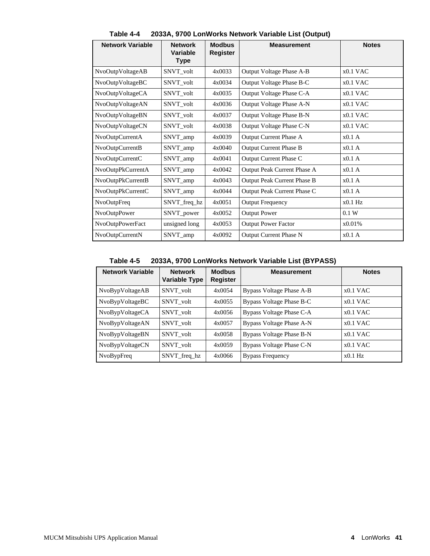| <b>Network Variable</b> | <b>Network</b><br><b>Variable</b><br><b>Type</b> | <b>Modbus</b><br><b>Register</b> | <b>Measurement</b>            | <b>Notes</b> |
|-------------------------|--------------------------------------------------|----------------------------------|-------------------------------|--------------|
| NvoOutpVoltageAB        | SNVT_volt                                        | 4x0033                           | Output Voltage Phase A-B      | $x0.1$ VAC   |
| NvoOutpVoltageBC        | SNVT_volt                                        | 4x0034                           | Output Voltage Phase B-C      | $x0.1$ VAC   |
| NvoOutpVoltageCA        | SNVT_volt                                        | 4x0035                           | Output Voltage Phase C-A      | $x0.1$ VAC   |
| NvoOutpVoltageAN        | SNVT_volt                                        | 4x0036                           | Output Voltage Phase A-N      | $x0.1$ VAC   |
| NvoOutpVoltageBN        | SNVT_volt                                        | 4x0037                           | Output Voltage Phase B-N      | $x0.1$ VAC   |
| NvoOutpVoltageCN        | SNVT_volt                                        | 4x0038                           | Output Voltage Phase C-N      | $x0.1$ VAC   |
| NvoOutpCurrentA         | SNVT_amp                                         | 4x0039                           | Output Current Phase A        | x0.1A        |
| NvoOutpCurrentB         | SNVT_amp                                         | 4x0040                           | <b>Output Current Phase B</b> | x0.1A        |
| NvoOutpCurrentC         | SNVT_amp                                         | 4x0041                           | Output Current Phase C        | x0.1A        |
| NvoOutpPkCurrentA       | SNVT_amp                                         | 4x0042                           | Output Peak Current Phase A   | $x0.1$ A     |
| NvoOutpPkCurrentB       | SNVT_amp                                         | 4x0043                           | Output Peak Current Phase B   | x0.1 A       |
| NvoOutpPkCurrentC       | SNVT_amp                                         | 4x0044                           | Output Peak Current Phase C   | $x0.1$ A     |
| <b>NvoOutpFreq</b>      | SNVT_freq_hz                                     | 4x0051                           | <b>Output Frequency</b>       | $x0.1$ Hz    |
| NvoOutpPower            | SNVT_power                                       | 4x0052                           | <b>Output Power</b>           | 0.1 W        |
| NvoOutpPowerFact        | unsigned long                                    | 4x0053                           | <b>Output Power Factor</b>    | x0.01%       |
| NvoOutpCurrentN         | SNVT_amp                                         | 4x0092                           | <b>Output Current Phase N</b> | x0.1A        |

**Table 4-4 2033A, 9700 LonWorks Network Variable List (Output)**

**Table 4-5 2033A, 9700 LonWorks Network Variable List (BYPASS)**

| <b>Network Variable</b> | <b>Network</b><br><b>Variable Type</b> | <b>Modbus</b><br><b>Register</b> | <b>Measurement</b>       | <b>Notes</b> |
|-------------------------|----------------------------------------|----------------------------------|--------------------------|--------------|
| NvoBypVoltageAB         | SNVT volt                              | 4x0054                           | Bypass Voltage Phase A-B | $x0.1$ VAC   |
| NvoBypVoltageBC         | SNVT volt                              | 4x0055                           | Bypass Voltage Phase B-C | $x0.1$ VAC   |
| NvoBypVoltageCA         | SNVT volt                              | 4x0056                           | Bypass Voltage Phase C-A | $x0.1$ VAC   |
| NvoBypVoltageAN         | SNVT volt                              | 4x0057                           | Bypass Voltage Phase A-N | $x0.1$ VAC   |
| NvoBypVoltageBN         | SNVT volt                              | 4x0058                           | Bypass Voltage Phase B-N | $x0.1$ VAC   |
| NvoBypVoltageCN         | SNVT volt                              | 4x0059                           | Bypass Voltage Phase C-N | $x0.1$ VAC   |
| NvoBypFreq              | SNVT_freq_hz                           | 4x0066                           | <b>Bypass Frequency</b>  | $x0.1$ Hz    |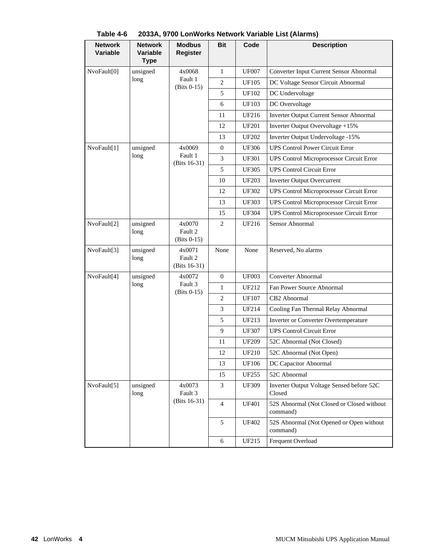| <b>Network</b><br><b>Variable</b> | <b>Network</b><br><b>Variable</b><br><b>Type</b> | <b>Modbus</b><br><b>Register</b>     | <b>Bit</b>     | Code         | <b>Description</b>                                     |
|-----------------------------------|--------------------------------------------------|--------------------------------------|----------------|--------------|--------------------------------------------------------|
| NvoFault[0]                       | unsigned                                         | 4x0068                               | 1              | <b>UF007</b> | Converter Input Current Sensor Abnormal                |
|                                   | long                                             | Fault 1<br>$(Bits 0-15)$             | 2              | <b>UF105</b> | DC Voltage Sensor Circuit Abnormal                     |
|                                   |                                                  |                                      | 5              | UF102        | DC Undervoltage                                        |
|                                   |                                                  |                                      | 6              | <b>UF103</b> | DC Overvoltage                                         |
|                                   |                                                  |                                      | 11             | UF216        | <b>Inverter Output Current Sensor Abnormal</b>         |
|                                   |                                                  |                                      | 12             | UF201        | Inverter Output Overvoltage +15%                       |
|                                   |                                                  |                                      | 13             | <b>UF202</b> | Inverter Output Undervoltage -15%                      |
| NvoFault[1]                       | unsigned                                         | 4x0069                               | $\mathbf{0}$   | <b>UF306</b> | <b>UPS Control Power Circuit Error</b>                 |
|                                   | long                                             | Fault 1<br>(Bits 16-31)              | 3              | UF301        | UPS Control Microprocessor Circuit Error               |
|                                   |                                                  |                                      | 5              | <b>UF305</b> | <b>UPS Control Circuit Error</b>                       |
|                                   |                                                  |                                      | 10             | <b>UF203</b> | <b>Inverter Output Overcurrent</b>                     |
|                                   |                                                  |                                      | 12             | <b>UF302</b> | <b>UPS Control Microprocessor Circuit Error</b>        |
|                                   |                                                  |                                      | 13             | <b>UF303</b> | UPS Control Microprocessor Circuit Error               |
|                                   |                                                  |                                      | 15             | <b>UF304</b> | <b>UPS Control Microprocessor Circuit Error</b>        |
| NvoFault[2]                       | unsigned<br>long                                 | 4x0070<br>Fault 2<br>$(Bits 0-15)$   | 2              | UF216        | Sensor Abnormal                                        |
| NvoFault[3]                       | unsigned<br>long                                 | 4x0071<br>Fault 2<br>(Bits $16-31$ ) | None           | None         | Reserved, No alarms                                    |
| NvoFault[4]                       | unsigned                                         | 4x0072                               | $\overline{0}$ | <b>UF003</b> | Converter Abnormal                                     |
|                                   | long                                             | Fault 3<br>$(Bits 0-15)$             | 1              | UF212        | Fan Power Source Abnormal                              |
|                                   |                                                  |                                      | 2              | <b>UF107</b> | CB2 Abnormal                                           |
|                                   |                                                  |                                      | 3              | UF214        | Cooling Fan Thermal Relay Abnormal                     |
|                                   |                                                  |                                      | 5              | UF213        | Inverter or Converter Overtemperature                  |
|                                   |                                                  |                                      | 9              | <b>UF307</b> | <b>UPS Control Circuit Error</b>                       |
|                                   |                                                  |                                      | 11             | UF209        | 52C Abnormal (Not Closed)                              |
|                                   |                                                  |                                      | 12             | UF210        | 52C Abnormal (Not Open)                                |
|                                   |                                                  |                                      | 13             | <b>UF106</b> | DC Capacitor Abnormal                                  |
|                                   |                                                  |                                      | 15             | UF255        | 52C Abnormal                                           |
| NvoFault[5]                       | unsigned<br>long                                 | 4x0073<br>Fault 3                    | 3              | <b>UF309</b> | Inverter Output Voltage Sensed before 52C<br>Closed    |
|                                   |                                                  | (Bits 16-31)                         | $\overline{4}$ | <b>UF401</b> | 52S Abnormal (Not Closed or Closed without<br>command) |
|                                   |                                                  |                                      | 5              | <b>UF402</b> | 52S Abnormal (Not Opened or Open without<br>command)   |
|                                   |                                                  |                                      | 6              | UF215        | Frequent Overload                                      |

**Table 4-6 2033A, 9700 LonWorks Network Variable List (Alarms)**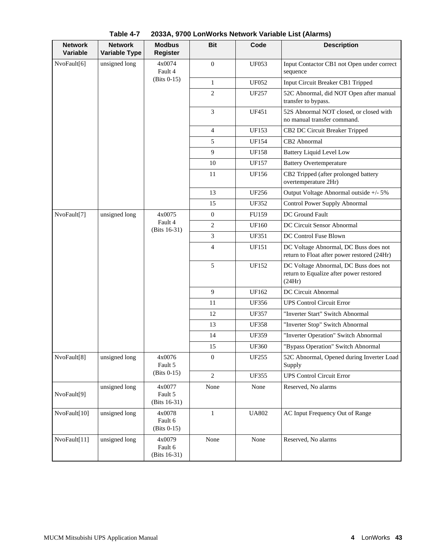| <b>Network</b><br><b>Variable</b> | <b>Network</b><br><b>Variable Type</b> | <b>Modbus</b><br><b>Register</b>   | <b>Bit</b>       | Code                                                                                       | <b>Description</b>                                                                   |
|-----------------------------------|----------------------------------------|------------------------------------|------------------|--------------------------------------------------------------------------------------------|--------------------------------------------------------------------------------------|
| NvoFault[6]                       | unsigned long                          | 4x0074<br>Fault 4                  | $\theta$         | <b>UF053</b>                                                                               | Input Contactor CB1 not Open under correct<br>sequence                               |
|                                   |                                        | $(Bits 0-15)$                      | $\mathbf{1}$     | <b>UF052</b>                                                                               | Input Circuit Breaker CB1 Tripped                                                    |
|                                   |                                        |                                    | $\overline{c}$   | UF257                                                                                      | 52C Abnormal, did NOT Open after manual<br>transfer to bypass.                       |
|                                   |                                        |                                    | $\mathfrak{Z}$   | UF451                                                                                      | 52S Abnormal NOT closed, or closed with<br>no manual transfer command.               |
|                                   |                                        |                                    | $\overline{4}$   | <b>UF153</b>                                                                               | CB2 DC Circuit Breaker Tripped                                                       |
|                                   |                                        |                                    | 5                | <b>UF154</b>                                                                               | CB <sub>2</sub> Abnormal                                                             |
|                                   |                                        |                                    | 9                | <b>UF158</b>                                                                               | <b>Battery Liquid Level Low</b>                                                      |
|                                   |                                        |                                    | 10               | <b>UF157</b>                                                                               | <b>Battery Overtemperature</b>                                                       |
|                                   |                                        |                                    | 11               | <b>UF156</b>                                                                               | CB2 Tripped (after prolonged battery<br>overtemperature 2Hr)                         |
|                                   |                                        |                                    | 13               | <b>UF256</b>                                                                               | Output Voltage Abnormal outside +/- 5%                                               |
|                                   |                                        |                                    | 15               | <b>UF352</b>                                                                               | Control Power Supply Abnormal                                                        |
| NvoFault[7]                       | unsigned long                          | 4x0075                             | $\mathbf{0}$     | FU159                                                                                      | DC Ground Fault                                                                      |
|                                   |                                        | Fault 4<br>(Bits $16-31$ )         | $\overline{c}$   | <b>UF160</b>                                                                               | DC Circuit Sensor Abnormal                                                           |
|                                   |                                        |                                    | 3                | <b>UF351</b>                                                                               | DC Control Fuse Blown                                                                |
|                                   |                                        |                                    | $\overline{4}$   | <b>UF151</b>                                                                               | DC Voltage Abnormal, DC Buss does not<br>return to Float after power restored (24Hr) |
|                                   |                                        | 5                                  | <b>UF152</b>     | DC Voltage Abnormal, DC Buss does not<br>return to Equalize after power restored<br>(24Hr) |                                                                                      |
|                                   |                                        |                                    | 9                | UF162                                                                                      | DC Circuit Abnormal                                                                  |
|                                   |                                        |                                    | 11               | <b>UF356</b>                                                                               | <b>UPS Control Circuit Error</b>                                                     |
|                                   |                                        |                                    | 12               | <b>UF357</b>                                                                               | "Inverter Start" Switch Abnormal                                                     |
|                                   |                                        |                                    | 13               | <b>UF358</b>                                                                               | "Inverter Stop" Switch Abnormal                                                      |
|                                   |                                        |                                    | 14               | <b>UF359</b>                                                                               | "Inverter Operation" Switch Abnormal                                                 |
|                                   |                                        |                                    | 15               | <b>UF360</b>                                                                               | "Bypass Operation" Switch Abnormal                                                   |
| NvoFault[8]                       | unsigned long                          | 4x0076<br>Fault 5                  | $\boldsymbol{0}$ | <b>UF255</b>                                                                               | 52C Abnormal, Opened during Inverter Load<br>Supply                                  |
|                                   |                                        | $(Bits 0-15)$                      | $\mathbf{2}$     | <b>UF355</b>                                                                               | <b>UPS Control Circuit Error</b>                                                     |
| NvoFault[9]                       | unsigned long                          | 4x0077<br>Fault 5<br>(Bits 16-31)  | None             | None                                                                                       | Reserved, No alarms                                                                  |
| NvoFault[10]                      | unsigned long                          | 4x0078<br>Fault 6<br>$(Bits 0-15)$ | $\mathbf{1}$     | <b>UA802</b>                                                                               | AC Input Frequency Out of Range                                                      |
| NvoFault[11]                      | unsigned long                          | 4x0079<br>Fault 6<br>(Bits 16-31)  | None             | None                                                                                       | Reserved, No alarms                                                                  |

**Table 4-7 2033A, 9700 LonWorks Network Variable List (Alarms)**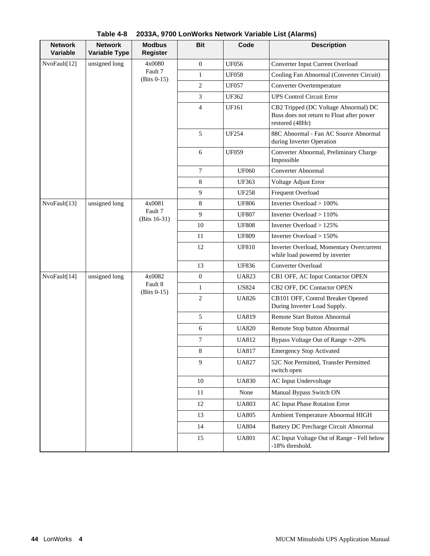| <b>Network</b><br><b>Variable</b> | <b>Network</b><br><b>Variable Type</b> | <b>Modbus</b><br><b>Register</b> | <b>Bit</b>       | Code         | <b>Description</b>                                                                                   |
|-----------------------------------|----------------------------------------|----------------------------------|------------------|--------------|------------------------------------------------------------------------------------------------------|
| NvoFault[12]                      | unsigned long                          | 4x0080                           | $\boldsymbol{0}$ | <b>UF056</b> | Converter Input Current Overload                                                                     |
|                                   |                                        | Fault 7<br>$(Bits 0-15)$         | $\mathbf{1}$     | <b>UF058</b> | Cooling Fan Abnormal (Converter Circuit)                                                             |
|                                   |                                        |                                  | 2                | <b>UF057</b> | Converter Overtemperature                                                                            |
|                                   |                                        |                                  | 3                | <b>UF362</b> | <b>UPS Control Circuit Error</b>                                                                     |
|                                   |                                        |                                  | $\overline{4}$   | <b>UF161</b> | CB2 Tripped (DC Voltage Abnormal) DC<br>Buss does not return to Float after power<br>restored (48Hr) |
|                                   |                                        |                                  | 5                | <b>UF254</b> | 88C Abnormal - Fan AC Source Abnormal<br>during Inverter Operation                                   |
|                                   |                                        |                                  | 6                | <b>UF059</b> | Converter Abnormal, Preliminary Charge<br>Impossible                                                 |
|                                   |                                        |                                  | 7                | <b>UF060</b> | Converter Abnormal                                                                                   |
|                                   |                                        |                                  | 8                | <b>UF363</b> | Voltage Adjust Error                                                                                 |
|                                   |                                        |                                  | 9                | <b>UF258</b> | Frequent Overload                                                                                    |
| NvoFault[13]                      | unsigned long                          | 4x0081                           | 8                | <b>UF806</b> | Inverter Overload > 100%                                                                             |
|                                   |                                        | Fault 7<br>(Bits 16-31)          | 9                | <b>UF807</b> | Inverter Overload > 110%                                                                             |
|                                   |                                        |                                  | 10               | <b>UF808</b> | Inverter Overload > 125%                                                                             |
|                                   |                                        |                                  | 11               | <b>UF809</b> | Inverter Overload > 150%                                                                             |
|                                   |                                        |                                  | 12               | <b>UF810</b> | Inverter Overload, Momentary Overcurrent<br>while load powered by inverter                           |
|                                   |                                        |                                  | 13               | <b>UF836</b> | Converter Overload                                                                                   |
| NvoFault[14]                      | unsigned long                          | 4x0082                           | $\boldsymbol{0}$ | <b>UA823</b> | CB1 OFF, AC Input Contactor OPEN                                                                     |
|                                   |                                        | Fault 8<br>$(Bits 0-15)$         | $\mathbf{1}$     | <b>US824</b> | CB2 OFF, DC Contactor OPEN                                                                           |
|                                   |                                        |                                  | $\overline{c}$   | <b>UA826</b> | CB101 OFF, Control Breaker Opened<br>During Inverter Load Supply.                                    |
|                                   |                                        |                                  | 5                | <b>UA819</b> | <b>Remote Start Button Abnormal</b>                                                                  |
|                                   |                                        |                                  | 6                | <b>UA820</b> | Remote Stop button Abnormal                                                                          |
|                                   |                                        |                                  | 7                | <b>UA812</b> | Bypass Voltage Out of Range +-20%                                                                    |
|                                   |                                        |                                  | 8                | <b>UA817</b> | <b>Emergency Stop Activated</b>                                                                      |
|                                   |                                        |                                  | 9                | <b>UA827</b> | 52C Not Permitted, Transfer Permitted<br>switch open                                                 |
|                                   |                                        |                                  | 10               | <b>UA830</b> | AC Input Undervoltage                                                                                |
|                                   |                                        |                                  | 11               | None         | Manual Bypass Switch ON                                                                              |
|                                   |                                        |                                  | 12               | <b>UA803</b> | <b>AC Input Phase Rotation Error</b>                                                                 |
|                                   |                                        |                                  | 13               | <b>UA805</b> | Ambient Temperature Abnormal HIGH                                                                    |
|                                   |                                        |                                  | 14               | <b>UA804</b> | <b>Battery DC Precharge Circuit Abnormal</b>                                                         |
|                                   |                                        |                                  | 15               | <b>UA801</b> | AC Input Voltage Out of Range - Fell below<br>-18% threshold.                                        |

**Table 4-8 2033A, 9700 LonWorks Network Variable List (Alarms)**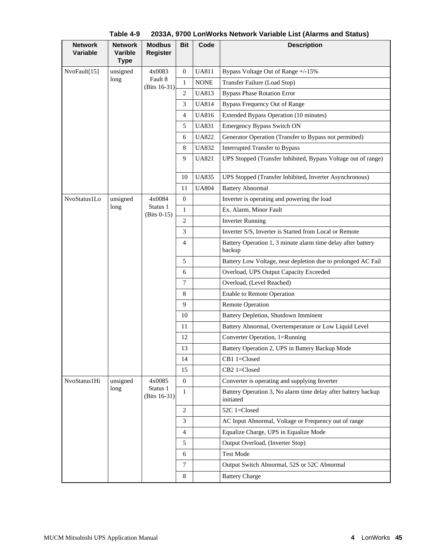| <b>Network</b><br><b>Variable</b> | <b>Network</b><br>Varible<br><b>Type</b> | <b>Modbus</b><br><b>Register</b> | <b>Bit</b>     | Code                                                                   | <b>Description</b>                                                         |
|-----------------------------------|------------------------------------------|----------------------------------|----------------|------------------------------------------------------------------------|----------------------------------------------------------------------------|
| NvoFault[15]                      | unsigned                                 | 4x0083                           | 0              | <b>UA811</b>                                                           | Bypass Voltage Out of Range +/-15%                                         |
|                                   | long                                     | Fault 8<br>(Bits 16-31)          | $\mathbf{1}$   | <b>NONE</b>                                                            | Transfer Failure (Load Stop)                                               |
|                                   |                                          |                                  | 2              | <b>UA813</b>                                                           | <b>Bypass Phase Rotation Error</b>                                         |
|                                   |                                          |                                  | 3              | <b>UA814</b>                                                           | <b>Bypass Frequency Out of Range</b>                                       |
|                                   |                                          |                                  | 4              | <b>UA816</b>                                                           | Extended Bypass Operation (10 minutes)                                     |
|                                   |                                          |                                  | 5              | <b>UA831</b>                                                           | <b>Emergency Bypass Switch ON</b>                                          |
|                                   |                                          |                                  | 6              | <b>UA822</b>                                                           | Generator Operation (Transfer to Bypass not permitted)                     |
|                                   |                                          |                                  | 8              | <b>UA832</b>                                                           | Interrupted Transfer to Bypass                                             |
|                                   |                                          |                                  | 9              | <b>UA821</b>                                                           | UPS Stopped (Transfer Inhibited, Bypass Voltage out of range)              |
|                                   |                                          |                                  | 10             | <b>UA835</b>                                                           | UPS Stopped (Transfer Inhibited, Inverter Asynchronous)                    |
|                                   |                                          |                                  | 11             | <b>UA804</b>                                                           | <b>Battery Abnormal</b>                                                    |
| NvoStatus1Lo                      | unsigned                                 | 4x0084                           | 0              |                                                                        | Inverter is operating and powering the load                                |
|                                   | long                                     | Status 1<br>(Bits 0-15)          | $\mathbf{1}$   |                                                                        | Ex. Alarm, Minor Fault                                                     |
|                                   |                                          |                                  | 2              |                                                                        | <b>Inverter Running</b>                                                    |
|                                   |                                          |                                  | 3              |                                                                        | Inverter S/S, Inverter is Started from Local or Remote                     |
|                                   |                                          | 4                                |                | Battery Operation 1, 3 minute alarm time delay after battery<br>backup |                                                                            |
|                                   |                                          |                                  | 5              |                                                                        | Battery Low Voltage, near depletion due to prolonged AC Fail               |
|                                   |                                          |                                  | 6              |                                                                        | Overload, UPS Output Capacity Exceeded                                     |
|                                   |                                          |                                  | 7              |                                                                        | Overload, (Level Reached)                                                  |
|                                   |                                          |                                  | 8              |                                                                        | <b>Enable to Remote Operation</b>                                          |
|                                   |                                          |                                  | 9              |                                                                        | <b>Remote Operation</b>                                                    |
|                                   |                                          |                                  | 10             |                                                                        | Battery Depletion, Shutdown Imminent                                       |
|                                   |                                          |                                  | 11             |                                                                        | Battery Abnormal, Overtemperature or Low Liquid Level                      |
|                                   |                                          |                                  | 12             |                                                                        | Converter Operation, 1=Running                                             |
|                                   |                                          |                                  | 13             |                                                                        | Battery Operation 2, UPS in Battery Backup Mode                            |
|                                   |                                          |                                  | 14             |                                                                        | CB1 1=Closed                                                               |
|                                   |                                          |                                  | 15             |                                                                        | CB2 1=Closed                                                               |
| NvoStatus1Hi                      | unsigned                                 | 4x0085                           | $\overline{0}$ |                                                                        | Converter is operating and supplying Inverter                              |
|                                   | long                                     | Status 1<br>(Bits 16-31)         | $\mathbf{1}$   |                                                                        | Battery Operation 3, No alarm time delay after battery backup<br>initiated |
|                                   |                                          |                                  | $\overline{c}$ |                                                                        | 52C 1=Closed                                                               |
|                                   |                                          |                                  | 3              |                                                                        | AC Input Abnormal, Voltage or Frequency out of range                       |
|                                   |                                          |                                  | 4              |                                                                        | Equalize Charge, UPS in Equalize Mode                                      |
|                                   |                                          |                                  | 5              |                                                                        | Output Overload, (Inverter Stop)                                           |
|                                   |                                          |                                  | 6              |                                                                        | <b>Test Mode</b>                                                           |
|                                   |                                          |                                  | 7              |                                                                        | Output Switch Abnormal, 52S or 52C Abnormal                                |
|                                   |                                          |                                  | 8              |                                                                        | <b>Battery Charge</b>                                                      |

**Table 4-9 2033A, 9700 LonWorks Network Variable List (Alarms and Status)**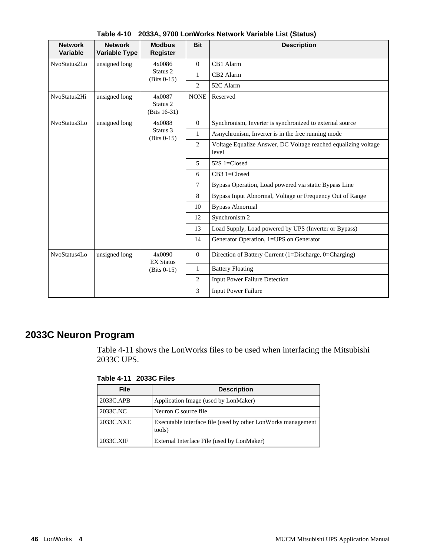| <b>Network</b><br><b>Variable</b> | <b>Network</b><br><b>Variable Type</b> | <b>Modbus</b><br><b>Register</b>                 | <b>Bit</b>                                                              | <b>Description</b>                                       |
|-----------------------------------|----------------------------------------|--------------------------------------------------|-------------------------------------------------------------------------|----------------------------------------------------------|
| NvoStatus2Lo                      | unsigned long                          | 4x0086                                           | $\mathbf{0}$                                                            | CB1 Alarm                                                |
|                                   |                                        | Status 2<br>$(Bits 0-15)$                        | $\mathbf{1}$                                                            | CB <sub>2</sub> Alarm                                    |
|                                   |                                        |                                                  | 2                                                                       | 52C Alarm                                                |
| NvoStatus2Hi                      | unsigned long                          | 4x0087<br>Status <sub>2</sub><br>(Bits $16-31$ ) | <b>NONE</b>                                                             | Reserved                                                 |
| NvoStatus3Lo                      | unsigned long                          | 4x0088                                           | $\overline{0}$                                                          | Synchronism, Inverter is synchronized to external source |
|                                   |                                        | Status 3<br>$(Bits 0-15)$                        | $\mathbf{1}$                                                            | Asnychronism, Inverter is in the free running mode       |
|                                   |                                        | 2                                                | Voltage Equalize Answer, DC Voltage reached equalizing voltage<br>level |                                                          |
|                                   |                                        | 5                                                | 52S 1= $Closed$                                                         |                                                          |
|                                   |                                        |                                                  | 6                                                                       | CB3 1=Closed                                             |
|                                   |                                        |                                                  | $\tau$                                                                  | Bypass Operation, Load powered via static Bypass Line    |
|                                   |                                        |                                                  | 8                                                                       | Bypass Input Abnormal, Voltage or Frequency Out of Range |
|                                   |                                        |                                                  | 10                                                                      | <b>Bypass Abnormal</b>                                   |
|                                   |                                        |                                                  | 12                                                                      | Synchronism 2                                            |
|                                   |                                        |                                                  | 13                                                                      | Load Supply, Load powered by UPS (Inverter or Bypass)    |
|                                   |                                        |                                                  | 14                                                                      | Generator Operation, 1=UPS on Generator                  |
| NvoStatus4Lo                      | unsigned long                          | 4x0090<br><b>EX Status</b>                       | $\overline{0}$                                                          | Direction of Battery Current (1=Discharge, 0=Charging)   |
|                                   |                                        | $(Bits 0-15)$                                    | $\mathbf{1}$                                                            | <b>Battery Floating</b>                                  |
|                                   |                                        |                                                  | $\overline{c}$                                                          | <b>Input Power Failure Detection</b>                     |
|                                   |                                        |                                                  | 3                                                                       | <b>Input Power Failure</b>                               |

**Table 4-10 2033A, 9700 LonWorks Network Variable List (Status)**

# **2033C Neuron Program**

Table 4-11 shows the LonWorks files to be used when interfacing the Mitsubishi 2033C UPS.

**Table 4-11 2033C Files**

| <b>File</b> | <b>Description</b>                                                      |
|-------------|-------------------------------------------------------------------------|
| 2033C.APB   | Application Image (used by LonMaker)                                    |
| 2033C.NC    | Neuron C source file                                                    |
| 2033C.NXE   | Executable interface file (used by other LonWorks management)<br>tools) |
| 2033C.XIF   | External Interface File (used by LonMaker)                              |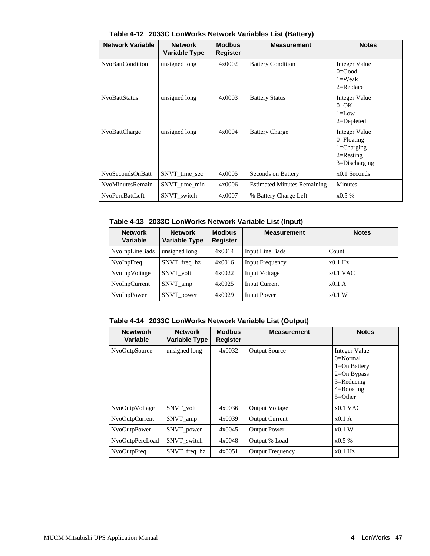| <b>Network Variable</b> | <b>Network</b><br><b>Variable Type</b> | <b>Modbus</b><br>Register | <b>Measurement</b>                 | <b>Notes</b>                                                                            |
|-------------------------|----------------------------------------|---------------------------|------------------------------------|-----------------------------------------------------------------------------------------|
| NvoBattCondition        | unsigned long                          | 4x0002                    | <b>Battery Condition</b>           | Integer Value<br>$0 = Good$<br>$1=Weak$<br>$2 = Replace$                                |
| <b>NvoBattStatus</b>    | unsigned long                          | 4x0003                    | <b>Battery Status</b>              | Integer Value<br>$0=OK$<br>$1 = L$ ow<br>$2 =$ Depleted                                 |
| NvoBattCharge           | unsigned long                          | 4x0004                    | <b>Battery Charge</b>              | Integer Value<br>$0 =$ Floating<br>$1 = Charging$<br>$2 =$ Resting<br>$3 = Discharging$ |
| NvoSecondsOnBatt        | SNVT_time_sec                          | 4x0005                    | Seconds on Battery                 | $x0.1$ Seconds                                                                          |
| <b>NvoMinutesRemain</b> | SNVT time min                          | 4x0006                    | <b>Estimated Minutes Remaining</b> | <b>Minutes</b>                                                                          |
| <b>NvoPercBattLeft</b>  | SNVT switch                            | 4x0007                    | % Battery Charge Left              | x0.5%                                                                                   |

**Table 4-12 2033C LonWorks Network Variables List (Battery)**

**Table 4-13 2033C LonWorks Network Variable List (Input)**

| <b>Network</b><br><b>Variable</b> | <b>Network</b><br><b>Variable Type</b> | <b>Modbus</b><br><b>Register</b> | <b>Measurement</b>     | <b>Notes</b> |
|-----------------------------------|----------------------------------------|----------------------------------|------------------------|--------------|
| NvoInpLineBads                    | unsigned long                          | 4x0014                           | <b>Input Line Bads</b> | Count        |
| NvoInpFreq                        | SNVT_freq hz                           | 4x0016                           | <b>Input Frequency</b> | $x0.1$ Hz    |
| NvoInpVoltage                     | SNVT volt                              | 4x0022                           | Input Voltage          | $x0.1$ VAC   |
| NvoInpCurrent                     | SNVT_amp                               | 4x0025                           | <b>Input Current</b>   | $x0.1$ A     |
| NvoInpPower                       | SNVT_power                             | 4x0029                           | <b>Input Power</b>     | x0.1 W       |

**Table 4-14 2033C LonWorks Network Variable List (Output)**

| <b>Newtwork</b><br>Variable | <b>Network</b><br><b>Variable Type</b> | <b>Modbus</b><br>Register | <b>Measurement</b>      | <b>Notes</b>                                                                                                        |
|-----------------------------|----------------------------------------|---------------------------|-------------------------|---------------------------------------------------------------------------------------------------------------------|
| NvoOutpSource               | unsigned long                          | 4x0032                    | <b>Output Source</b>    | Integer Value<br>$0=Normal$<br>$1 = On$ Battery<br>$2=On Bypass$<br>$3 =$ Reducing<br>$4 =$ Boosting<br>$5 = Other$ |
| NvoOutpVoltage              | SNVT volt                              | 4x0036                    | <b>Output Voltage</b>   | $x0.1$ VAC                                                                                                          |
| NvoOutpCurrent              | SNVT amp                               | 4x0039                    | <b>Output Current</b>   | x0.1A                                                                                                               |
| NvoOutpPower                | SNVT_power                             | 4x0045                    | <b>Output Power</b>     | x0.1 W                                                                                                              |
| NvoOutpPercLoad             | SNVT switch                            | 4x0048                    | Output % Load           | x0.5%                                                                                                               |
| <b>NvoOutpFreq</b>          | SNVT_freq_hz                           | 4x0051                    | <b>Output Frequency</b> | $x0.1$ Hz                                                                                                           |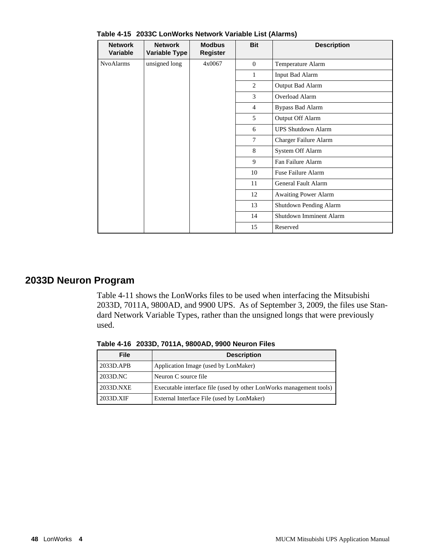| <b>Network</b><br><b>Variable</b> | <b>Network</b><br><b>Variable Type</b> | <b>Modbus</b><br><b>Register</b> | <b>Bit</b>   | <b>Description</b>             |
|-----------------------------------|----------------------------------------|----------------------------------|--------------|--------------------------------|
| <b>NvoAlarms</b>                  | unsigned long                          | 4x0067                           | $\Omega$     | Temperature Alarm              |
|                                   |                                        |                                  | $\mathbf{1}$ | Input Bad Alarm                |
|                                   |                                        |                                  | 2            | Output Bad Alarm               |
|                                   |                                        |                                  | 3            | <b>Overload Alarm</b>          |
|                                   |                                        |                                  | 4            | <b>Bypass Bad Alarm</b>        |
|                                   |                                        |                                  | 5            | Output Off Alarm               |
|                                   |                                        |                                  | 6            | <b>UPS Shutdown Alarm</b>      |
|                                   |                                        |                                  | 7            | Charger Failure Alarm          |
|                                   |                                        |                                  | 8            | System Off Alarm               |
|                                   |                                        |                                  | 9            | Fan Failure Alarm              |
|                                   |                                        |                                  | 10           | Fuse Failure Alarm             |
|                                   |                                        |                                  | 11           | General Fault Alarm            |
|                                   |                                        |                                  | 12           | Awaiting Power Alarm           |
|                                   |                                        |                                  | 13           | Shutdown Pending Alarm         |
|                                   |                                        |                                  | 14           | <b>Shutdown Imminent Alarm</b> |
|                                   |                                        |                                  | 15           | Reserved                       |

**Table 4-15 2033C LonWorks Network Variable List (Alarms)**

# **2033D Neuron Program**

Table 4-11 shows the LonWorks files to be used when interfacing the Mitsubishi 2033D, 7011A, 9800AD, and 9900 UPS. As of September 3, 2009, the files use Standard Network Variable Types, rather than the unsigned longs that were previously used.

| File      | <b>Description</b>                                                  |
|-----------|---------------------------------------------------------------------|
| 2033D.APB | Application Image (used by LonMaker)                                |
| 2033D.NC  | Neuron C source file                                                |
| 2033D.NXE | Executable interface file (used by other LonWorks management tools) |
| 2033D.XIF | External Interface File (used by LonMaker)                          |

**Table 4-16 2033D, 7011A, 9800AD, 9900 Neuron Files**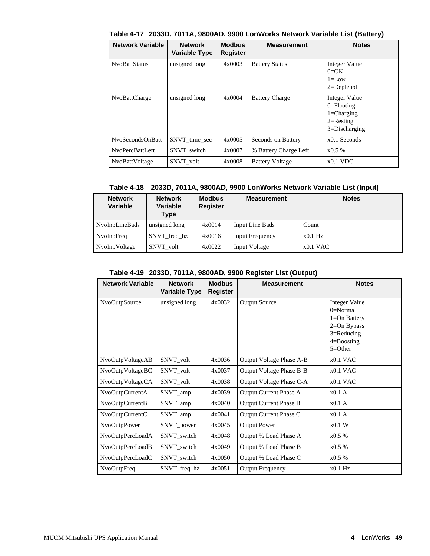| <b>Network Variable</b> | <b>Network</b><br><b>Variable Type</b> | <b>Modbus</b><br>Register | <b>Measurement</b>     | <b>Notes</b>                                                                           |
|-------------------------|----------------------------------------|---------------------------|------------------------|----------------------------------------------------------------------------------------|
| <b>NvoBattStatus</b>    | unsigned long                          | 4x0003                    | <b>Battery Status</b>  | Integer Value<br>$0=OK$<br>$l = L$ ow<br>$2 = Depleted$                                |
| NvoBattCharge           | unsigned long                          | 4x0004                    | <b>Battery Charge</b>  | Integer Value<br>$0 =$ Floating<br>$1 = Charging$<br>$2=$ Resting<br>$3 = Discharging$ |
| NvoSecondsOnBatt        | SNVT_time_sec                          | 4x0005                    | Seconds on Battery     | $x0.1$ Seconds                                                                         |
| <b>NvoPercBattLeft</b>  | SNVT switch                            | 4x0007                    | % Battery Charge Left  | x0.5%                                                                                  |
| <b>NvoBattVoltage</b>   | SNVT_volt                              | 4x0008                    | <b>Battery Voltage</b> | $x0.1$ VDC                                                                             |

**Table 4-17 2033D, 7011A, 9800AD, 9900 LonWorks Network Variable List (Battery)**

#### **Table 4-18 2033D, 7011A, 9800AD, 9900 LonWorks Network Variable List (Input)**

| <b>Network</b><br><b>Variable</b> | <b>Network</b><br>Variable<br>Type | <b>Modbus</b><br><b>Register</b> | <b>Measurement</b>     | <b>Notes</b> |
|-----------------------------------|------------------------------------|----------------------------------|------------------------|--------------|
| NvoInpLineBads                    | unsigned long                      | 4x0014                           | Input Line Bads        | Count        |
| NvoInpFreq                        | SNVT freq hz                       | 4x0016                           | <b>Input Frequency</b> | $x0.1$ Hz    |
| NvoInpVoltage                     | SNVT volt                          | 4x0022                           | Input Voltage          | $x0.1$ VAC   |

#### **Table 4-19 2033D, 7011A, 9800AD, 9900 Register List (Output)**

| <b>Network Variable</b> | <b>Network</b><br><b>Variable Type</b> | <b>Modbus</b><br><b>Register</b> | <b>Measurement</b>       | <b>Notes</b>     |
|-------------------------|----------------------------------------|----------------------------------|--------------------------|------------------|
| NvoOutpSource           | unsigned long                          | 4x0032                           | <b>Output Source</b>     | Integer Value    |
|                         |                                        |                                  |                          | $0=Normal$       |
|                         |                                        |                                  |                          | $1 = On$ Battery |
|                         |                                        |                                  |                          | $2=On Bypass$    |
|                         |                                        |                                  |                          | $3 =$ Reducing   |
|                         |                                        |                                  |                          | $4 =$ Boosting   |
|                         |                                        |                                  |                          | $5 = Other$      |
| NvoOutpVoltageAB        | SNVT_volt                              | 4x0036                           | Output Voltage Phase A-B | $x0.1$ VAC       |
| NvoOutpVoltageBC        | SNVT_volt                              | 4x0037                           | Output Voltage Phase B-B | $x0.1$ VAC       |
| NvoOutpVoltageCA        | SNVT_volt                              | 4x0038                           | Output Voltage Phase C-A | $x0.1$ VAC       |
| NvoOutpCurrentA         | SNVT_amp                               | 4x0039                           | Output Current Phase A   | x0.1A            |
| NvoOutpCurrentB         | SNVT_amp                               | 4x0040                           | Output Current Phase B   | x0.1A            |
| NvoOutpCurrentC         | SNVT_amp                               | 4x0041                           | Output Current Phase C   | x0.1A            |
| NvoOutpPower            | SNVT_power                             | 4x0045                           | <b>Output Power</b>      | x0.1 W           |
| NvoOutpPercLoadA        | SNVT_switch                            | 4x0048                           | Output % Load Phase A    | x0.5%            |
| NvoOutpPercLoadB        | SNVT_switch                            | 4x0049                           | Output % Load Phase B    | x0.5%            |
| NvoOutpPercLoadC        | SNVT_switch                            | 4x0050                           | Output % Load Phase C    | x0.5%            |
| <b>NvoOutpFreq</b>      | SNVT freq hz                           | 4x0051                           | <b>Output Frequency</b>  | $x0.1$ Hz        |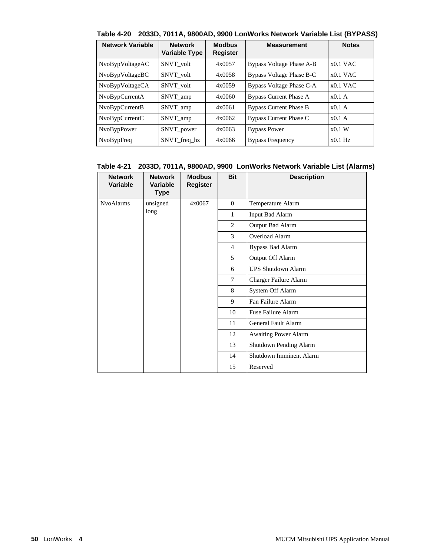|  |  |  | Table 4-20 2033D, 7011A, 9800AD, 9900 LonWorks Network Variable List (BYPASS) |  |  |
|--|--|--|-------------------------------------------------------------------------------|--|--|
|--|--|--|-------------------------------------------------------------------------------|--|--|

| <b>Network Variable</b> | <b>Network</b><br><b>Variable Type</b> | <b>Modbus</b><br><b>Register</b> | <b>Measurement</b>            | <b>Notes</b> |
|-------------------------|----------------------------------------|----------------------------------|-------------------------------|--------------|
| NvoBypVoltageAC         | SNVT volt                              | 4x0057                           | Bypass Voltage Phase A-B      | $x0.1$ VAC   |
| NvoBypVoltageBC         | SNVT volt                              | 4x0058                           | Bypass Voltage Phase B-C      | $x0.1$ VAC   |
| NvoBypVoltageCA         | SNVT volt                              | 4x0059                           | Bypass Voltage Phase C-A      | $x0.1$ VAC   |
| NvoBypCurrentA          | SNVT amp                               | 4x0060                           | <b>Bypass Current Phase A</b> | $x0.1$ A     |
| NvoBypCurrentB          | SNVT amp                               | 4x0061                           | <b>Bypass Current Phase B</b> | $x0.1$ A     |
| NvoBypCurrentC          | SNVT_amp                               | 4x0062                           | Bypass Current Phase C        | $x0.1$ A     |
| <b>NvoBypPower</b>      | SNVT_power                             | 4x0063                           | <b>Bypass Power</b>           | $x0.1$ W     |
| NvoBypFreq              | SNVT freq hz                           | 4x0066                           | <b>Bypass Frequency</b>       | $x0.1$ Hz    |

### **Table 4-21 2033D, 7011A, 9800AD, 9900 LonWorks Network Variable List (Alarms)**

| <b>Network</b><br><b>Variable</b> | <b>Network</b><br>Variable<br><b>Type</b> | <b>Modbus</b><br><b>Register</b> | <b>Bit</b>     | <b>Description</b>          |  |  |  |  |  |  |  |  |  |  |  |  |  |  |  |  |  |  |  |  |  |  |  |  |  |  |  |  |    |                     |
|-----------------------------------|-------------------------------------------|----------------------------------|----------------|-----------------------------|--|--|--|--|--|--|--|--|--|--|--|--|--|--|--|--|--|--|--|--|--|--|--|--|--|--|--|--|----|---------------------|
| <b>NvoAlarms</b>                  | unsigned                                  | 4x0067                           | $\Omega$       | Temperature Alarm           |  |  |  |  |  |  |  |  |  |  |  |  |  |  |  |  |  |  |  |  |  |  |  |  |  |  |  |  |    |                     |
|                                   | long                                      |                                  | 1              | <b>Input Bad Alarm</b>      |  |  |  |  |  |  |  |  |  |  |  |  |  |  |  |  |  |  |  |  |  |  |  |  |  |  |  |  |    |                     |
|                                   |                                           |                                  | 2              | Output Bad Alarm            |  |  |  |  |  |  |  |  |  |  |  |  |  |  |  |  |  |  |  |  |  |  |  |  |  |  |  |  |    |                     |
|                                   |                                           |                                  | 3              | Overload Alarm              |  |  |  |  |  |  |  |  |  |  |  |  |  |  |  |  |  |  |  |  |  |  |  |  |  |  |  |  |    |                     |
|                                   |                                           |                                  | $\overline{4}$ | <b>Bypass Bad Alarm</b>     |  |  |  |  |  |  |  |  |  |  |  |  |  |  |  |  |  |  |  |  |  |  |  |  |  |  |  |  |    |                     |
|                                   |                                           |                                  | 5              | Output Off Alarm            |  |  |  |  |  |  |  |  |  |  |  |  |  |  |  |  |  |  |  |  |  |  |  |  |  |  |  |  |    |                     |
|                                   |                                           |                                  | 6              | <b>UPS Shutdown Alarm</b>   |  |  |  |  |  |  |  |  |  |  |  |  |  |  |  |  |  |  |  |  |  |  |  |  |  |  |  |  |    |                     |
|                                   |                                           |                                  | $\tau$         | Charger Failure Alarm       |  |  |  |  |  |  |  |  |  |  |  |  |  |  |  |  |  |  |  |  |  |  |  |  |  |  |  |  |    |                     |
|                                   |                                           |                                  | 8              | System Off Alarm            |  |  |  |  |  |  |  |  |  |  |  |  |  |  |  |  |  |  |  |  |  |  |  |  |  |  |  |  |    |                     |
|                                   |                                           |                                  | 9              | Fan Failure Alarm           |  |  |  |  |  |  |  |  |  |  |  |  |  |  |  |  |  |  |  |  |  |  |  |  |  |  |  |  |    |                     |
|                                   |                                           |                                  | 10             | <b>Fuse Failure Alarm</b>   |  |  |  |  |  |  |  |  |  |  |  |  |  |  |  |  |  |  |  |  |  |  |  |  |  |  |  |  |    |                     |
|                                   |                                           |                                  |                |                             |  |  |  |  |  |  |  |  |  |  |  |  |  |  |  |  |  |  |  |  |  |  |  |  |  |  |  |  | 11 | General Fault Alarm |
|                                   |                                           |                                  | 12             | <b>Awaiting Power Alarm</b> |  |  |  |  |  |  |  |  |  |  |  |  |  |  |  |  |  |  |  |  |  |  |  |  |  |  |  |  |    |                     |
|                                   |                                           |                                  | 13             | Shutdown Pending Alarm      |  |  |  |  |  |  |  |  |  |  |  |  |  |  |  |  |  |  |  |  |  |  |  |  |  |  |  |  |    |                     |
|                                   |                                           |                                  | 14             | Shutdown Imminent Alarm     |  |  |  |  |  |  |  |  |  |  |  |  |  |  |  |  |  |  |  |  |  |  |  |  |  |  |  |  |    |                     |
|                                   |                                           |                                  | 15             | Reserved                    |  |  |  |  |  |  |  |  |  |  |  |  |  |  |  |  |  |  |  |  |  |  |  |  |  |  |  |  |    |                     |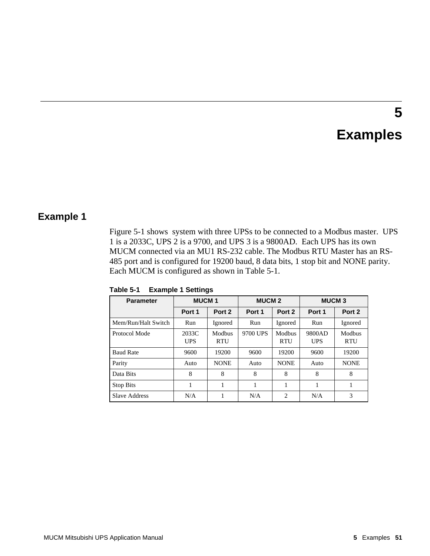# **5 Examples**

# **Example 1**

Figure 5-1 shows system with three UPSs to be connected to a Modbus master. UPS 1 is a 2033C, UPS 2 is a 9700, and UPS 3 is a 9800AD. Each UPS has its own MUCM connected via an MU1 RS-232 cable. The Modbus RTU Master has an RS-485 port and is configured for 19200 baud, 8 data bits, 1 stop bit and NONE parity. Each MUCM is configured as shown in Table 5-1.

| <b>Parameter</b>    | <b>MUCM1</b>        |                      | <b>MUCM 2</b> |                      | <b>MUCM3</b>         |                      |
|---------------------|---------------------|----------------------|---------------|----------------------|----------------------|----------------------|
|                     | Port 1              | Port 2               | Port 1        | Port 2               | Port 1               | Port 2               |
| Mem/Run/Halt Switch | Run                 | Ignored              | Run           | Ignored              | Run                  | Ignored              |
| Protocol Mode       | 2033C<br><b>UPS</b> | Modbus<br><b>RTU</b> | 9700 UPS      | Modbus<br><b>RTU</b> | 9800AD<br><b>UPS</b> | Modbus<br><b>RTU</b> |
| <b>Baud Rate</b>    | 9600                | 19200                | 9600          | 19200                | 9600                 | 19200                |
| Parity              | Auto                | <b>NONE</b>          | Auto          | <b>NONE</b>          | Auto                 | <b>NONE</b>          |
| Data Bits           | 8                   | 8                    | 8             | 8                    | 8                    | 8                    |
| <b>Stop Bits</b>    |                     |                      |               |                      |                      |                      |
| Slave Address       | N/A                 |                      | N/A           | $\overline{c}$       | N/A                  | 3                    |

**Table 5-1 Example 1 Settings**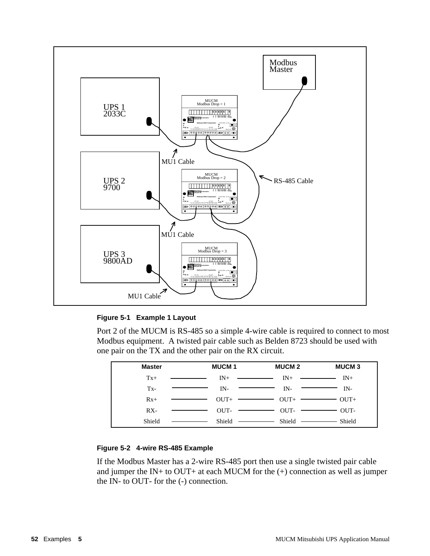

#### **Figure 5-1 Example 1 Layout**

Port 2 of the MUCM is RS-485 so a simple 4-wire cable is required to connect to most Modbus equipment. A twisted pair cable such as Belden 8723 should be used with one pair on the TX and the other pair on the RX circuit.

| <b>Master</b> | <b>MUCM1</b>                                       | <b>MUCM 2</b>                                                                                                                                                                                                                                                                                                                                                                                                                                                                                                  | <b>MUCM3</b> |
|---------------|----------------------------------------------------|----------------------------------------------------------------------------------------------------------------------------------------------------------------------------------------------------------------------------------------------------------------------------------------------------------------------------------------------------------------------------------------------------------------------------------------------------------------------------------------------------------------|--------------|
| $Tx+$         | $IN+$                                              | $IN_{+}$<br><u> The Common State Common State Common State Common State Common State Common State Common State Common State Common State Common State Common State Common State Common State Common State Common State Common State Common S</u><br><u> The Common State Common State Common State Common State Common State Common State Common State Common State Common State Common State Common State Common State Common State Common State Common State Common State Common S</u>                       | $IN+$        |
| $Tx -$        | $IN-$                                              | IN-                                                                                                                                                                                                                                                                                                                                                                                                                                                                                                            | IN-          |
| $Rx+$         | $OUT+$                                             | $\overline{\phantom{a}}$ $\overline{\phantom{a}}$ $\overline{\phantom{a}}$ $\overline{\phantom{a}}$ $\overline{\phantom{a}}$ $\overline{\phantom{a}}$ $\overline{\phantom{a}}$ $\overline{\phantom{a}}$ $\overline{\phantom{a}}$ $\overline{\phantom{a}}$ $\overline{\phantom{a}}$ $\overline{\phantom{a}}$ $\overline{\phantom{a}}$ $\overline{\phantom{a}}$ $\overline{\phantom{a}}$ $\overline{\phantom{a}}$ $\overline{\phantom{a}}$ $\overline{\phantom{a}}$ $\overline{\$<br>$\overbrace{\hspace{25mm}}$ | $OUT+$       |
| $RX -$        | $\overline{\text{OUT}}$ $\overline{\text{Output}}$ | $OUT \longrightarrow$                                                                                                                                                                                                                                                                                                                                                                                                                                                                                          | OUT-         |
| Shield        | Shield —————                                       | Shield —                                                                                                                                                                                                                                                                                                                                                                                                                                                                                                       | Shield       |

#### **Figure 5-2 4-wire RS-485 Example**

If the Modbus Master has a 2-wire RS-485 port then use a single twisted pair cable and jumper the IN+ to OUT+ at each MUCM for the  $(+)$  connection as well as jumper the IN- to OUT- for the (-) connection.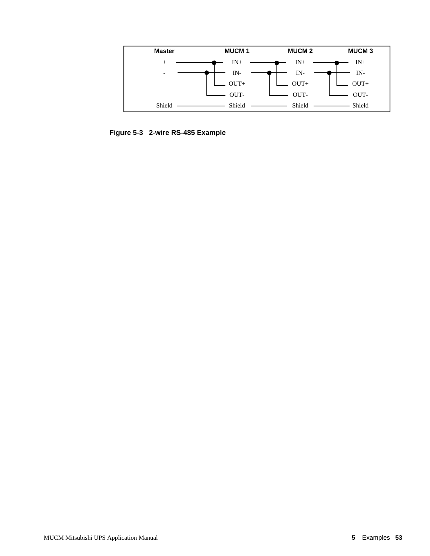

**Figure 5-3 2-wire RS-485 Example**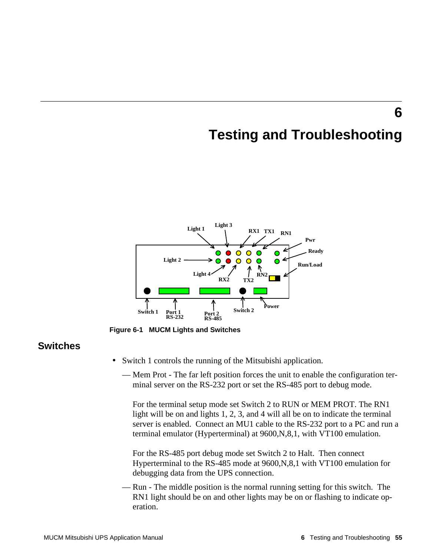# **Testing and Troubleshooting**

**6**



**Figure 6-1 MUCM Lights and Switches**

## **Switches**

- Switch 1 controls the running of the Mitsubishi application.
	- Mem Prot The far left position forces the unit to enable the configuration terminal server on the RS-232 port or set the RS-485 port to debug mode.

For the terminal setup mode set Switch 2 to RUN or MEM PROT. The RN1 light will be on and lights 1, 2, 3, and 4 will all be on to indicate the terminal server is enabled. Connect an MU1 cable to the RS-232 port to a PC and run a terminal emulator (Hyperterminal) at 9600,N,8,1, with VT100 emulation.

For the RS-485 port debug mode set Switch 2 to Halt. Then connect Hyperterminal to the RS-485 mode at 9600,N,8,1 with VT100 emulation for debugging data from the UPS connection.

— Run - The middle position is the normal running setting for this switch. The RN1 light should be on and other lights may be on or flashing to indicate operation.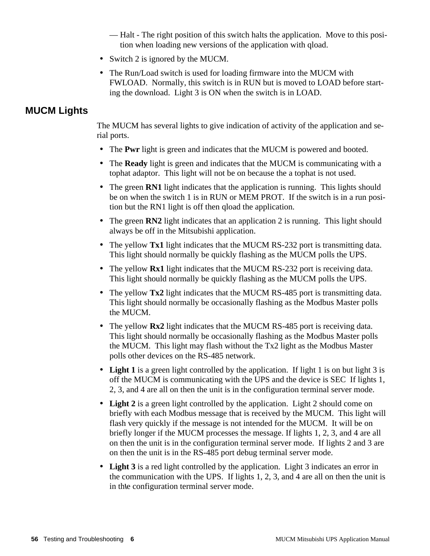— Halt - The right position of this switch halts the application. Move to this position when loading new versions of the application with qload.

- Switch 2 is ignored by the MUCM.
- The Run/Load switch is used for loading firmware into the MUCM with FWLOAD. Normally, this switch is in RUN but is moved to LOAD before starting the download. Light 3 is ON when the switch is in LOAD.

# **MUCM Lights**

The MUCM has several lights to give indication of activity of the application and serial ports.

- The **Pwr** light is green and indicates that the MUCM is powered and booted.
- The **Ready** light is green and indicates that the MUCM is communicating with a tophat adaptor. This light will not be on because the a tophat is not used.
- The green **RN1** light indicates that the application is running. This lights should be on when the switch 1 is in RUN or MEM PROT. If the switch is in a run position but the RN1 light is off then qload the application.
- The green **RN2** light indicates that an application 2 is running. This light should always be off in the Mitsubishi application.
- The yellow **Tx1** light indicates that the MUCM RS-232 port is transmitting data. This light should normally be quickly flashing as the MUCM polls the UPS.
- The yellow **Rx1** light indicates that the MUCM RS-232 port is receiving data. This light should normally be quickly flashing as the MUCM polls the UPS.
- The yellow **Tx2** light indicates that the MUCM RS-485 port is transmitting data. This light should normally be occasionally flashing as the Modbus Master polls the MUCM.
- The yellow **Rx2** light indicates that the MUCM RS-485 port is receiving data. This light should normally be occasionally flashing as the Modbus Master polls the MUCM. This light may flash without the Tx2 light as the Modbus Master polls other devices on the RS-485 network.
- Light 1 is a green light controlled by the application. If light 1 is on but light 3 is off the MUCM is communicating with the UPS and the device is SEC If lights 1, 2, 3, and 4 are all on then the unit is in the configuration terminal server mode.
- **Light 2** is a green light controlled by the application. Light 2 should come on briefly with each Modbus message that is received by the MUCM. This light will flash very quickly if the message is not intended for the MUCM. It will be on briefly longer if the MUCM processes the message. If lights 1, 2, 3, and 4 are all on then the unit is in the configuration terminal server mode. If lights 2 and 3 are on then the unit is in the RS-485 port debug terminal server mode.
- **Light 3** is a red light controlled by the application. Light 3 indicates an error in the communication with the UPS. If lights 1, 2, 3, and 4 are all on then the unit is in th**\**e configuration terminal server mode.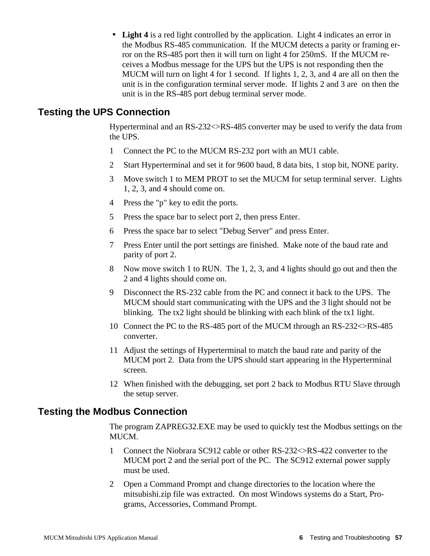• **Light 4** is a red light controlled by the application. Light 4 indicates an error in the Modbus RS-485 communication. If the MUCM detects a parity or framing error on the RS-485 port then it will turn on light 4 for 250mS. If the MUCM receives a Modbus message for the UPS but the UPS is not responding then the MUCM will turn on light 4 for 1 second. If lights 1, 2, 3, and 4 are all on then the unit is in the configuration terminal server mode. If lights 2 and 3 are on then the unit is in the RS-485 port debug terminal server mode.

## **Testing the UPS Connection**

Hyperterminal and an RS-232<>RS-485 converter may be used to verify the data from the UPS.

- 1 Connect the PC to the MUCM RS-232 port with an MU1 cable.
- 2 Start Hyperterminal and set it for 9600 baud, 8 data bits, 1 stop bit, NONE parity.
- 3 Move switch 1 to MEM PROT to set the MUCM for setup terminal server. Lights 1, 2, 3, and 4 should come on.
- 4 Press the "p" key to edit the ports.
- 5 Press the space bar to select port 2, then press Enter.
- 6 Press the space bar to select "Debug Server" and press Enter.
- 7 Press Enter until the port settings are finished. Make note of the baud rate and parity of port 2.
- 8 Now move switch 1 to RUN. The 1, 2, 3, and 4 lights should go out and then the 2 and 4 lights should come on.
- 9 Disconnect the RS-232 cable from the PC and connect it back to the UPS. The MUCM should start communicating with the UPS and the 3 light should not be blinking. The tx2 light should be blinking with each blink of the tx1 light.
- 10 Connect the PC to the RS-485 port of the MUCM through an RS-232<>RS-485 converter.
- 11 Adjust the settings of Hyperterminal to match the baud rate and parity of the MUCM port 2. Data from the UPS should start appearing in the Hyperterminal screen.
- 12 When finished with the debugging, set port 2 back to Modbus RTU Slave through the setup server.

## **Testing the Modbus Connection**

The program ZAPREG32.EXE may be used to quickly test the Modbus settings on the MUCM.

- 1 Connect the Niobrara SC912 cable or other RS-232<>RS-422 converter to the MUCM port 2 and the serial port of the PC. The SC912 external power supply must be used.
- 2 Open a Command Prompt and change directories to the location where the mitsubishi.zip file was extracted. On most Windows systems do a Start, Programs, Accessories, Command Prompt.